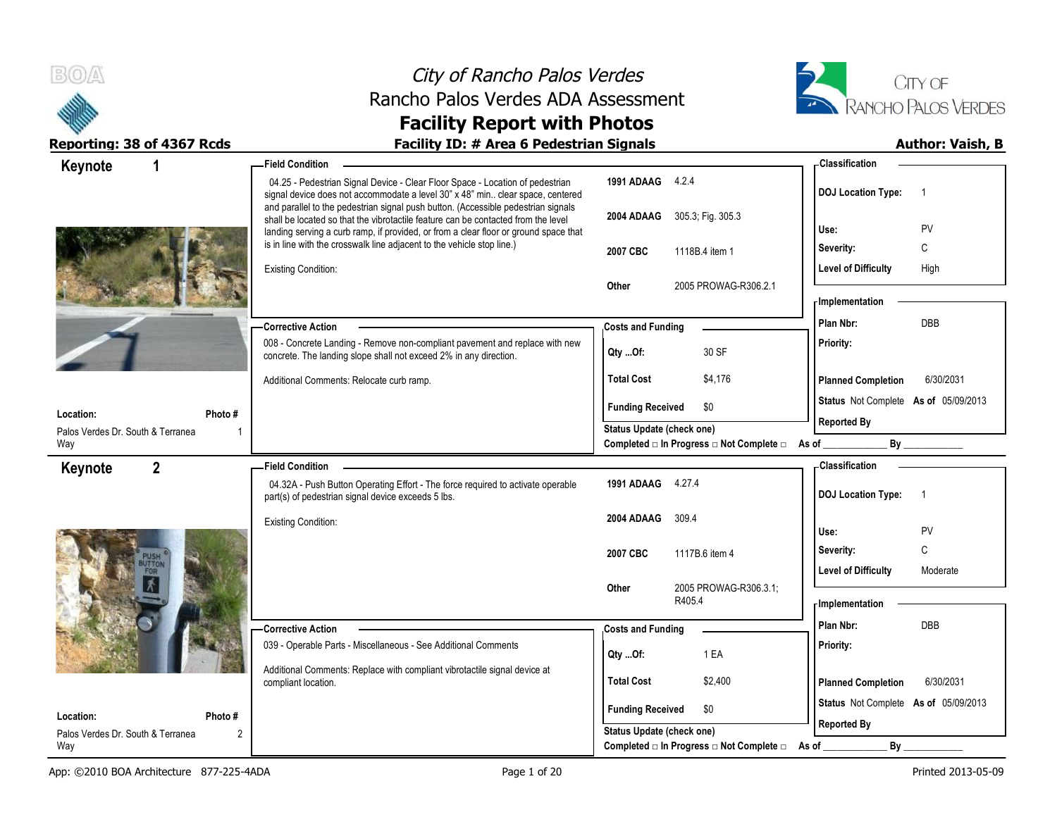



| Keynote                                  | 1              | <b>Field Condition</b>                                                                                                                                                 |                                                         | - Classification                             |
|------------------------------------------|----------------|------------------------------------------------------------------------------------------------------------------------------------------------------------------------|---------------------------------------------------------|----------------------------------------------|
|                                          |                | 04.25 - Pedestrian Signal Device - Clear Floor Space - Location of pedestrian<br>signal device does not accommodate a level 30" x 48" min clear space, centered        | 1991 ADAAG 4.2.4                                        | <b>DOJ Location Type:</b><br>$\overline{1}$  |
|                                          |                | and parallel to the pedestrian signal push button. (Accessible pedestrian signals<br>shall be located so that the vibrotactile feature can be contacted from the level | 2004 ADAAG 305.3, Fig. 305.3                            | PV<br>Use:                                   |
|                                          |                | landing serving a curb ramp, if provided, or from a clear floor or ground space that<br>is in line with the crosswalk line adjacent to the vehicle stop line.)         |                                                         | Severity:<br>C                               |
|                                          |                | <b>Existing Condition:</b>                                                                                                                                             | 2007 CBC<br>1118B.4 item 1                              | <b>Level of Difficulty</b><br>High           |
|                                          |                |                                                                                                                                                                        | 2005 PROWAG-R306.2.1<br><b>Other</b>                    |                                              |
|                                          |                |                                                                                                                                                                        |                                                         | - Implementation                             |
|                                          |                | - Corrective Action                                                                                                                                                    | <b>Costs and Funding</b>                                | <b>DBB</b><br>Plan Nbr:                      |
|                                          |                | 008 - Concrete Landing - Remove non-compliant pavement and replace with new<br>concrete. The landing slope shall not exceed 2% in any direction.                       | 30 SF<br>Qty Of:                                        | Priority:                                    |
|                                          |                | Additional Comments: Relocate curb ramp.                                                                                                                               | <b>Total Cost</b><br>\$4,176                            | <b>Planned Completion</b><br>6/30/2031       |
|                                          |                |                                                                                                                                                                        | <b>Funding Received</b><br>\$0                          | Status Not Complete As of 05/09/2013         |
| Location:                                | Photo #        |                                                                                                                                                                        | <b>Status Update (check one)</b>                        | <b>Reported By</b>                           |
| Palos Verdes Dr. South & Terranea<br>Way |                |                                                                                                                                                                        | Completed □ In Progress □ Not Complete □ As of ________ | By                                           |
| Keynote                                  | $\overline{2}$ | - Field Condition                                                                                                                                                      |                                                         | - Classification                             |
|                                          |                | 04.32A - Push Button Operating Effort - The force required to activate operable<br>part(s) of pedestrian signal device exceeds 5 lbs.                                  | 1991 ADAAG 4.27.4                                       | <b>DOJ Location Type:</b><br>$\overline{1}$  |
|                                          |                | <b>Existing Condition:</b>                                                                                                                                             | 2004 ADAAG<br>309.4                                     |                                              |
|                                          |                |                                                                                                                                                                        |                                                         | PV<br>Use:<br>$\mathbb C$                    |
|                                          |                |                                                                                                                                                                        | 2007 CBC<br>1117B.6 item 4                              | Severity:<br>Level of Difficulty<br>Moderate |
|                                          |                |                                                                                                                                                                        | 2005 PROWAG-R306.3.1;<br><b>Other</b>                   |                                              |
|                                          |                |                                                                                                                                                                        | R405.4                                                  | <b>Implementation</b>                        |
|                                          |                | - Corrective Action                                                                                                                                                    | <b>Costs and Funding</b>                                | Plan Nbr:<br>DBB                             |
|                                          |                | 039 - Operable Parts - Miscellaneous - See Additional Comments                                                                                                         | 1 EA<br>Qty Of:                                         | Priority:                                    |
|                                          |                | Additional Comments: Replace with compliant vibrotactile signal device at                                                                                              |                                                         |                                              |
|                                          |                | compliant location.                                                                                                                                                    | <b>Total Cost</b><br>\$2,400                            | 6/30/2031<br><b>Planned Completion</b>       |
|                                          |                |                                                                                                                                                                        | <b>Funding Received</b><br>\$0                          | Status Not Complete As of 05/09/2013         |
| Location:                                |                |                                                                                                                                                                        |                                                         |                                              |
| Palos Verdes Dr. South & Terranea        | Photo #<br>2   |                                                                                                                                                                        | Status Update (check one)                               | <b>Reported By</b>                           |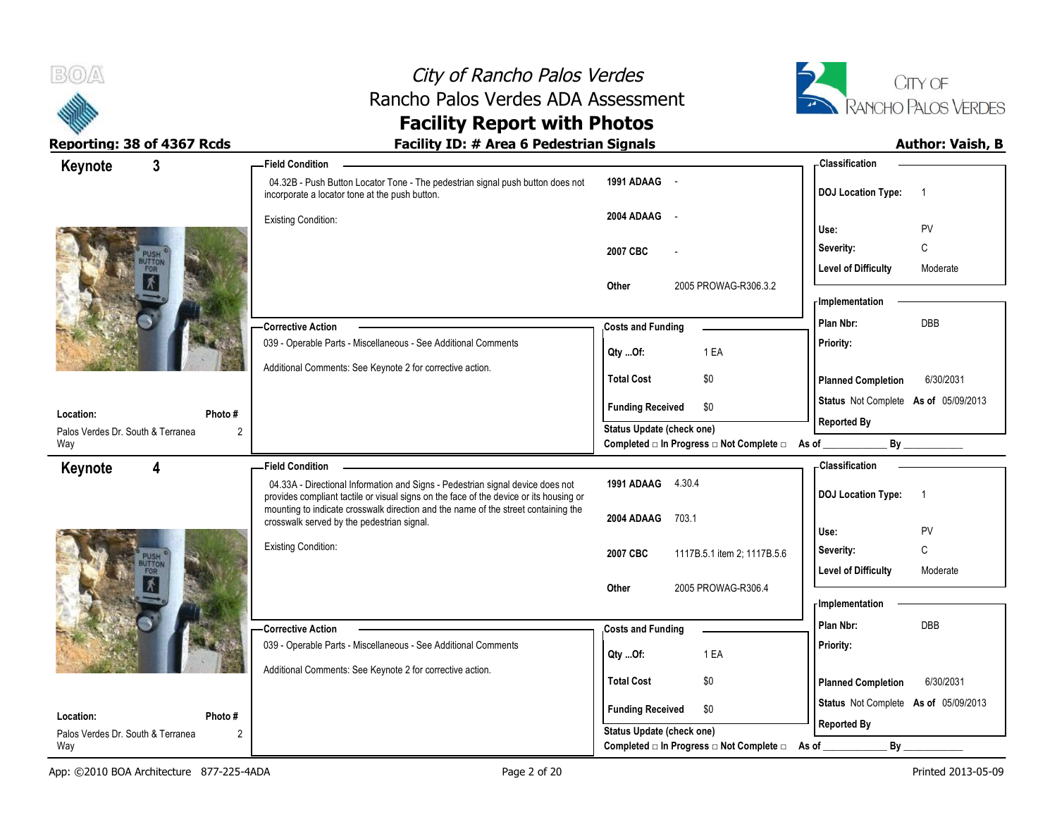



| Keynote                                        | $\mathbf{3}$            | -Field Condition                                                                                                                                                         |                                                             | - Classification                            |
|------------------------------------------------|-------------------------|--------------------------------------------------------------------------------------------------------------------------------------------------------------------------|-------------------------------------------------------------|---------------------------------------------|
|                                                |                         | 04.32B - Push Button Locator Tone - The pedestrian signal push button does not<br>incorporate a locator tone at the push button.                                         | 1991 ADAAG -                                                | <b>DOJ Location Type:</b><br>$\overline{1}$ |
|                                                |                         | <b>Existing Condition:</b>                                                                                                                                               | 2004 ADAAG -                                                | Use:<br><b>PV</b>                           |
|                                                |                         |                                                                                                                                                                          | 2007 CBC                                                    | C<br>Severity:                              |
|                                                |                         |                                                                                                                                                                          | 2005 PROWAG-R306.3.2<br>Other                               | <b>Level of Difficulty</b><br>Moderate      |
|                                                |                         |                                                                                                                                                                          |                                                             | - Implementation                            |
|                                                |                         | - Corrective Action                                                                                                                                                      | <b>Costs and Funding</b>                                    | DBB<br>Plan Nbr:                            |
|                                                |                         | 039 - Operable Parts - Miscellaneous - See Additional Comments                                                                                                           | 1 EA<br>Qty Of:                                             | Priority:                                   |
|                                                |                         | Additional Comments: See Keynote 2 for corrective action.                                                                                                                | <b>Total Cost</b><br>\$0                                    | <b>Planned Completion</b><br>6/30/2031      |
| Location:                                      | Photo #                 |                                                                                                                                                                          | \$0<br><b>Funding Received</b>                              | Status Not Complete As of 05/09/2013        |
| Palos Verdes Dr. South & Terranea              | 2                       |                                                                                                                                                                          | Status Update (check one)                                   | <b>Reported By</b>                          |
| Way                                            |                         |                                                                                                                                                                          | Completed □ In Progress □ Not Complete □ As of _            | By                                          |
| Keynote                                        | $\overline{\mathbf{4}}$ | - Field Condition                                                                                                                                                        |                                                             | Classification                              |
|                                                |                         | 04.33A - Directional Information and Signs - Pedestrian signal device does not<br>provides compliant tactile or visual signs on the face of the device or its housing or | 1991 ADAAG 4.30.4                                           | <b>DOJ Location Type:</b><br>$\overline{1}$ |
|                                                |                         |                                                                                                                                                                          |                                                             |                                             |
|                                                |                         | mounting to indicate crosswalk direction and the name of the street containing the<br>crosswalk served by the pedestrian signal.                                         | 2004 ADAAG<br>703.1                                         |                                             |
|                                                |                         |                                                                                                                                                                          |                                                             | Use:<br>PV                                  |
|                                                |                         | <b>Existing Condition:</b>                                                                                                                                               | 2007 CBC<br>1117B.5.1 item 2; 1117B.5.6                     | C<br>Severity:<br>Moderate                  |
|                                                |                         |                                                                                                                                                                          | 2005 PROWAG-R306.4<br>Other                                 | <b>Level of Difficulty</b>                  |
|                                                |                         |                                                                                                                                                                          |                                                             | <b>Implementation</b>                       |
|                                                |                         | - Corrective Action                                                                                                                                                      | <b>Costs and Funding</b>                                    | Plan Nbr:<br>DBB                            |
|                                                |                         | 039 - Operable Parts - Miscellaneous - See Additional Comments                                                                                                           | 1 EA<br>Qty Of:                                             | Priority:                                   |
|                                                |                         | Additional Comments: See Keynote 2 for corrective action.                                                                                                                | <b>Total Cost</b><br>\$0                                    | <b>Planned Completion</b><br>6/30/2031      |
|                                                |                         |                                                                                                                                                                          |                                                             | Status Not Complete As of 05/09/2013        |
| Location:<br>Palos Verdes Dr. South & Terranea | Photo #<br>2            |                                                                                                                                                                          | <b>Funding Received</b><br>\$0<br>Status Update (check one) | <b>Reported By</b>                          |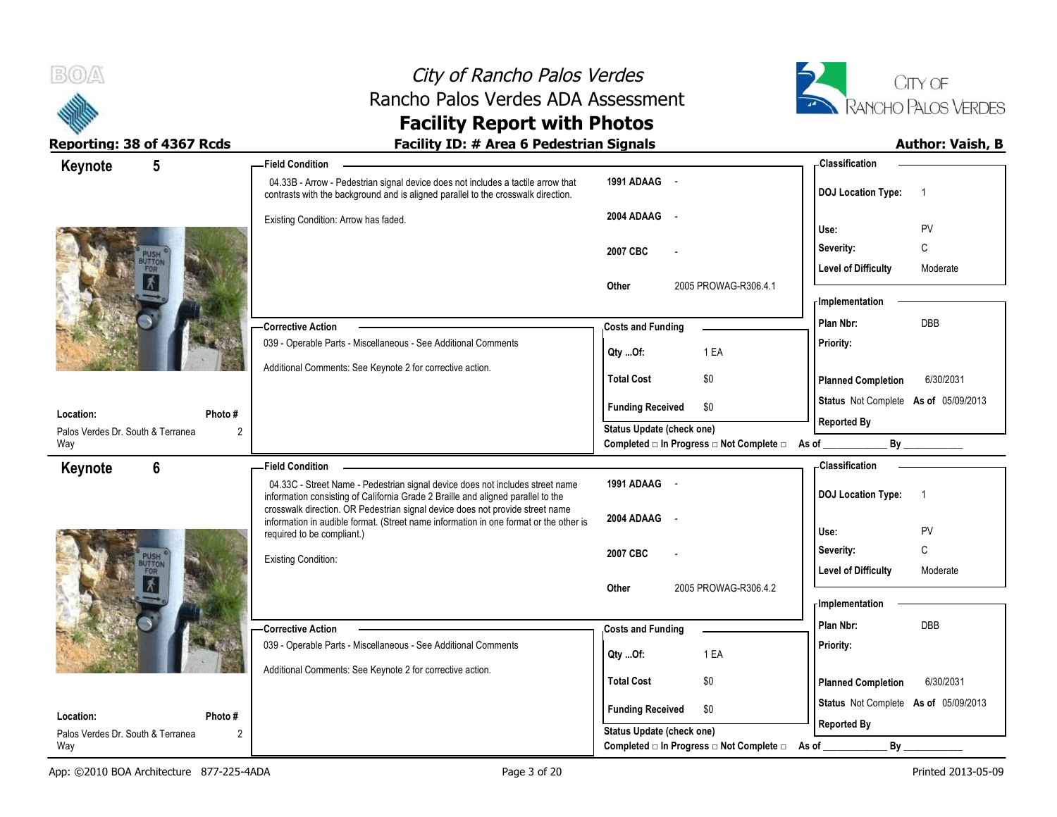



| Keynote                                        | $5\phantom{.0}$ | <b>Field Condition</b>                                                                                                                                                |                                                   | - Classification                            |
|------------------------------------------------|-----------------|-----------------------------------------------------------------------------------------------------------------------------------------------------------------------|---------------------------------------------------|---------------------------------------------|
|                                                |                 | 04.33B - Arrow - Pedestrian signal device does not includes a tactile arrow that<br>contrasts with the background and is aligned parallel to the crosswalk direction. | 1991 ADAAG -                                      | <b>DOJ Location Type:</b><br>$\overline{1}$ |
|                                                |                 | Existing Condition: Arrow has faded.                                                                                                                                  | 2004 ADAAG<br>$\sim$                              | PV<br>Use:                                  |
|                                                |                 |                                                                                                                                                                       | 2007 CBC                                          | C<br>Severity:                              |
|                                                |                 |                                                                                                                                                                       |                                                   | <b>Level of Difficulty</b><br>Moderate      |
|                                                |                 |                                                                                                                                                                       | 2005 PROWAG-R306.4.1<br>Other                     |                                             |
|                                                |                 |                                                                                                                                                                       |                                                   | - Implementation                            |
|                                                |                 | - Corrective Action                                                                                                                                                   | <b>Costs and Funding</b>                          | <b>DBB</b><br>Plan Nbr:                     |
|                                                |                 | 039 - Operable Parts - Miscellaneous - See Additional Comments                                                                                                        | 1 EA<br>Qty Of:                                   | Priority:                                   |
|                                                |                 | Additional Comments: See Keynote 2 for corrective action.                                                                                                             | <b>Total Cost</b><br>\$0                          | <b>Planned Completion</b><br>6/30/2031      |
|                                                |                 |                                                                                                                                                                       | <b>Funding Received</b><br>\$0                    | Status Not Complete As of 05/09/2013        |
| Location:<br>Palos Verdes Dr. South & Terranea | Photo #         |                                                                                                                                                                       | Status Update (check one)                         | <b>Reported By</b>                          |
| Way                                            |                 |                                                                                                                                                                       | Completed □ In Progress □ Not Complete □ As of __ | By                                          |
| Keynote                                        | 6               | <b>Field Condition</b>                                                                                                                                                |                                                   | <b>Classification</b>                       |
|                                                |                 | 04.33C - Street Name - Pedestrian signal device does not includes street name<br>information consisting of California Grade 2 Braille and aligned parallel to the     | 1991 ADAAG -                                      | <b>DOJ Location Type:</b><br>$\overline{1}$ |
|                                                |                 | crosswalk direction. OR Pedestrian signal device does not provide street name                                                                                         | 2004 ADAAG<br>$\overline{\phantom{a}}$            |                                             |
|                                                |                 | information in audible format. (Street name information in one format or the other is<br>required to be compliant.)                                                   |                                                   | Use:<br>PV                                  |
|                                                |                 | <b>Existing Condition:</b>                                                                                                                                            | 2007 CBC                                          | $\mathsf C$<br>Severity:                    |
|                                                |                 |                                                                                                                                                                       |                                                   | <b>Level of Difficulty</b><br>Moderate      |
|                                                |                 |                                                                                                                                                                       | 2005 PROWAG-R306.4.2<br>Other                     | - Implementation                            |
|                                                |                 | -Corrective Action                                                                                                                                                    | <b>Costs and Funding</b>                          | Plan Nbr:<br><b>DBB</b>                     |
|                                                |                 | 039 - Operable Parts - Miscellaneous - See Additional Comments                                                                                                        |                                                   | Priority:                                   |
|                                                |                 | Additional Comments: See Keynote 2 for corrective action.                                                                                                             | 1 EA<br>Qty Of:                                   |                                             |
|                                                |                 |                                                                                                                                                                       | <b>Total Cost</b><br>\$0                          | <b>Planned Completion</b><br>6/30/2031      |
| Location:                                      | Photo #         |                                                                                                                                                                       | <b>Funding Received</b><br>\$0                    | Status Not Complete As of 05/09/2013        |
| Palos Verdes Dr. South & Terranea              | $\overline{2}$  |                                                                                                                                                                       | Status Update (check one)                         | <b>Reported By</b>                          |
| Way                                            |                 |                                                                                                                                                                       | Completed □ In Progress □ Not Complete □          | $By_$<br>As of                              |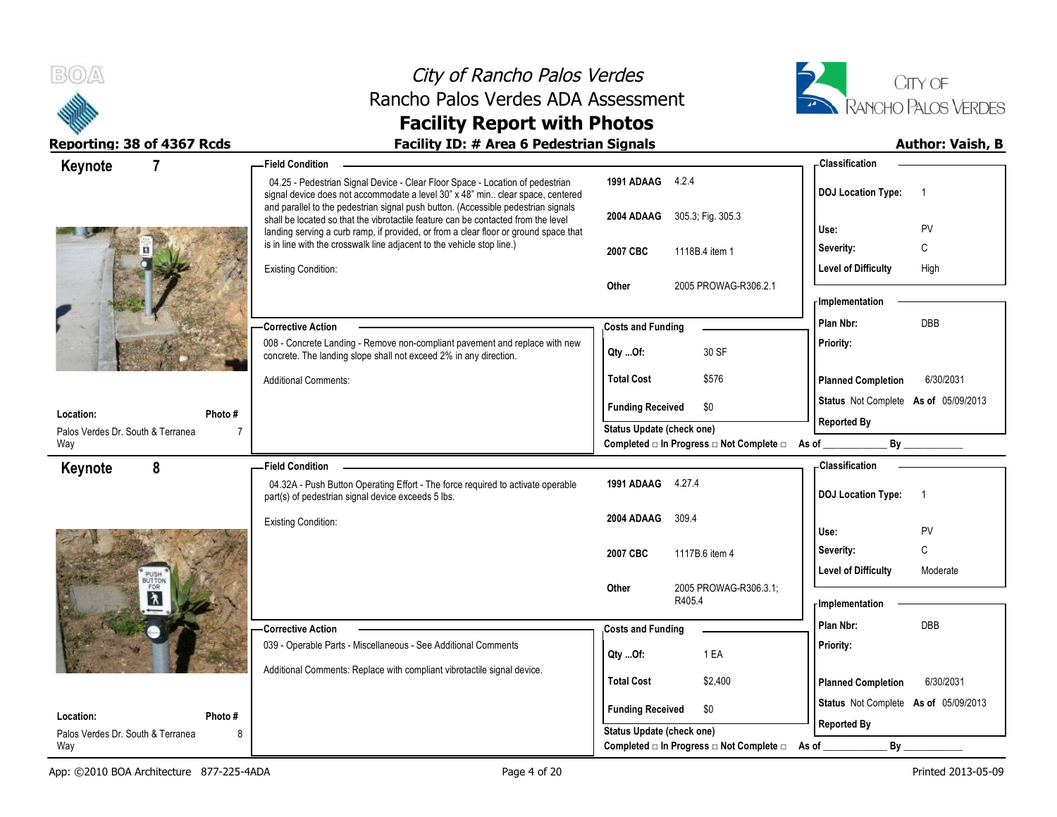



| $\overline{7}$<br>Keynote                                 | - Field Condition                                                                                                                                                                                                                                              |                                                                       | - Classification                            |
|-----------------------------------------------------------|----------------------------------------------------------------------------------------------------------------------------------------------------------------------------------------------------------------------------------------------------------------|-----------------------------------------------------------------------|---------------------------------------------|
|                                                           | 04.25 - Pedestrian Signal Device - Clear Floor Space - Location of pedestrian<br>signal device does not accommodate a level 30" x 48" min clear space, centered                                                                                                | 1991 ADAAG 4.2.4                                                      | <b>DOJ Location Type:</b><br>$\overline{1}$ |
|                                                           | and parallel to the pedestrian signal push button. (Accessible pedestrian signals<br>shall be located so that the vibrotactile feature can be contacted from the level<br>landing serving a curb ramp, if provided, or from a clear floor or ground space that | 2004 ADAAG 305.3; Fig. 305.3                                          | Use:<br>PV                                  |
|                                                           | is in line with the crosswalk line adjacent to the vehicle stop line.)                                                                                                                                                                                         | 2007 CBC<br>1118B.4 item 1                                            | С<br>Severity:                              |
|                                                           | <b>Existing Condition:</b>                                                                                                                                                                                                                                     |                                                                       | <b>Level of Difficulty</b><br>High          |
|                                                           |                                                                                                                                                                                                                                                                | 2005 PROWAG-R306.2.1<br>Other                                         |                                             |
|                                                           |                                                                                                                                                                                                                                                                |                                                                       | - Implementation                            |
|                                                           | <b>Corrective Action</b>                                                                                                                                                                                                                                       | <b>Costs and Funding</b>                                              | Plan Nbr:<br>DBB                            |
|                                                           | 008 - Concrete Landing - Remove non-compliant pavement and replace with new<br>concrete. The landing slope shall not exceed 2% in any direction.                                                                                                               | 30 SF<br>QtyOf:                                                       | Priority:                                   |
|                                                           | <b>Additional Comments:</b>                                                                                                                                                                                                                                    | <b>Total Cost</b><br>\$576                                            | <b>Planned Completion</b><br>6/30/2031      |
|                                                           |                                                                                                                                                                                                                                                                | <b>Funding Received</b><br>\$0                                        | Status Not Complete As of 05/09/2013        |
| Location:<br>Photo #<br>Palos Verdes Dr. South & Terranea | $\overline{7}$                                                                                                                                                                                                                                                 | <b>Status Update (check one)</b>                                      | <b>Reported By</b>                          |
| Way                                                       |                                                                                                                                                                                                                                                                | Completed □ In Progress □ Not Complete □ As of __                     | By                                          |
| 8<br>Keynote                                              | Field Condition -                                                                                                                                                                                                                                              |                                                                       | - Classification                            |
|                                                           | 04.32A - Push Button Operating Effort - The force required to activate operable<br>part(s) of pedestrian signal device exceeds 5 lbs.                                                                                                                          | 1991 ADAAG 4.27.4                                                     | <b>DOJ Location Type:</b><br>$\overline{1}$ |
|                                                           |                                                                                                                                                                                                                                                                |                                                                       |                                             |
|                                                           | <b>Existing Condition:</b>                                                                                                                                                                                                                                     | 2004 ADAAG<br>309.4                                                   |                                             |
|                                                           |                                                                                                                                                                                                                                                                |                                                                       | PV<br>Use:                                  |
|                                                           |                                                                                                                                                                                                                                                                | 2007 CBC<br>1117B.6 item 4                                            | C<br>Severity:                              |
| PUSH<br>BUTTON<br>FOR                                     |                                                                                                                                                                                                                                                                | <b>Other</b>                                                          | <b>Level of Difficulty</b><br>Moderate      |
|                                                           |                                                                                                                                                                                                                                                                | 2005 PROWAG-R306.3.1;<br>R405.4                                       | <b>Implementation</b>                       |
|                                                           | <b>Corrective Action</b>                                                                                                                                                                                                                                       |                                                                       | Plan Nbr:<br>DBB                            |
|                                                           | 039 - Operable Parts - Miscellaneous - See Additional Comments                                                                                                                                                                                                 | <b>Costs and Funding</b><br>1 EA<br>Qty Of:                           | Priority:                                   |
|                                                           | Additional Comments: Replace with compliant vibrotactile signal device.                                                                                                                                                                                        |                                                                       |                                             |
|                                                           |                                                                                                                                                                                                                                                                | <b>Total Cost</b><br>\$2,400                                          | 6/30/2031<br><b>Planned Completion</b>      |
| Location:<br>Photo#                                       |                                                                                                                                                                                                                                                                | <b>Funding Received</b><br>\$0                                        | Status Not Complete As of 05/09/2013        |
| Palos Verdes Dr. South & Terranea<br>Way                  | 8                                                                                                                                                                                                                                                              | Status Update (check one)<br>Completed □ In Progress □ Not Complete □ | <b>Reported By</b><br>By<br>As of           |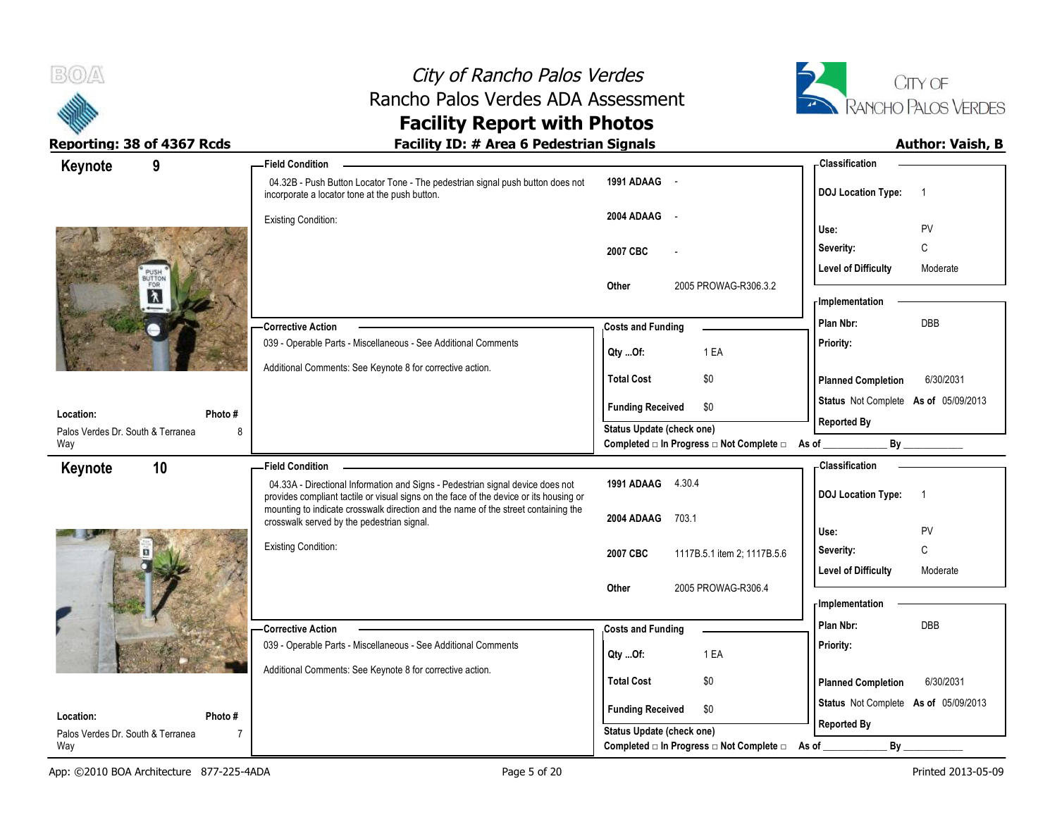

# City of Rancho Palos Verdes Rancho Palos Verdes ADA Assessment



| Keynote<br>9                      |                | <b>Field Condition</b>                                                                                                                                                   |                                                  | - Classification                            |
|-----------------------------------|----------------|--------------------------------------------------------------------------------------------------------------------------------------------------------------------------|--------------------------------------------------|---------------------------------------------|
|                                   |                | 04.32B - Push Button Locator Tone - The pedestrian signal push button does not<br>incorporate a locator tone at the push button.                                         | 1991 ADAAG                                       | <b>DOJ Location Type:</b><br>$\overline{1}$ |
|                                   |                | <b>Existing Condition:</b>                                                                                                                                               | 2004 ADAAG<br>$\sim$ $\sim$                      |                                             |
|                                   |                |                                                                                                                                                                          |                                                  | PV<br>Use:                                  |
|                                   |                |                                                                                                                                                                          | 2007 CBC                                         | C<br>Severity:                              |
| PUSH                              |                |                                                                                                                                                                          |                                                  | <b>Level of Difficulty</b><br>Moderate      |
| $\lambda$                         |                |                                                                                                                                                                          | 2005 PROWAG-R306.3.2<br>Other                    |                                             |
|                                   |                |                                                                                                                                                                          |                                                  | <b>Implementation</b>                       |
|                                   |                | <b>Corrective Action</b>                                                                                                                                                 | <b>Costs and Funding</b>                         | <b>DBB</b><br>Plan Nbr:                     |
|                                   |                | 039 - Operable Parts - Miscellaneous - See Additional Comments                                                                                                           | 1 EA<br>Qty Of:                                  | Priority:                                   |
|                                   |                | Additional Comments: See Keynote 8 for corrective action.                                                                                                                | <b>Total Cost</b><br>\$0                         | <b>Planned Completion</b><br>6/30/2031      |
|                                   |                |                                                                                                                                                                          |                                                  |                                             |
| Location:                         | Photo#         |                                                                                                                                                                          | \$0<br><b>Funding Received</b>                   | Status Not Complete As of 05/09/2013        |
| Palos Verdes Dr. South & Terranea | 8              |                                                                                                                                                                          | <b>Status Update (check one)</b>                 | <b>Reported By</b>                          |
| Way                               |                |                                                                                                                                                                          | Completed □ In Progress □ Not Complete □ As of _ | By                                          |
| 10<br>Keynote                     |                | <b>Field Condition</b>                                                                                                                                                   |                                                  | - Classification                            |
|                                   |                | 04.33A - Directional Information and Signs - Pedestrian signal device does not<br>provides compliant tactile or visual signs on the face of the device or its housing or | 1991 ADAAG 4.30.4                                | <b>DOJ Location Type:</b><br>$\overline{1}$ |
|                                   |                | mounting to indicate crosswalk direction and the name of the street containing the<br>crosswalk served by the pedestrian signal.                                         | 2004 ADAAG<br>703.1                              |                                             |
|                                   |                |                                                                                                                                                                          |                                                  | Use:<br>PV                                  |
|                                   |                | <b>Existing Condition:</b>                                                                                                                                               | 2007 CBC<br>1117B.5.1 item 2; 1117B.5.6          | C<br>Severity:                              |
|                                   |                |                                                                                                                                                                          |                                                  | <b>Level of Difficulty</b><br>Moderate      |
|                                   |                |                                                                                                                                                                          | 2005 PROWAG-R306.4<br>Other                      |                                             |
|                                   |                |                                                                                                                                                                          |                                                  | - Implementation                            |
|                                   |                | <b>Corrective Action</b>                                                                                                                                                 | <b>Costs and Funding</b>                         | DBB<br>Plan Nbr:                            |
|                                   |                | 039 - Operable Parts - Miscellaneous - See Additional Comments                                                                                                           | 1 EA<br>Qty Of:                                  | Priority:                                   |
|                                   |                | Additional Comments: See Keynote 8 for corrective action.                                                                                                                |                                                  |                                             |
|                                   |                |                                                                                                                                                                          | \$0<br><b>Total Cost</b>                         | <b>Planned Completion</b><br>6/30/2031      |
| Location:                         | Photo #        |                                                                                                                                                                          | <b>Funding Received</b><br>\$0                   | Status Not Complete As of 05/09/2013        |
| Palos Verdes Dr. South & Terranea | $\overline{7}$ |                                                                                                                                                                          | Status Update (check one)                        | <b>Reported By</b>                          |
| Way                               |                |                                                                                                                                                                          | Completed □ In Progress □ Not Complete □         | By<br>As of                                 |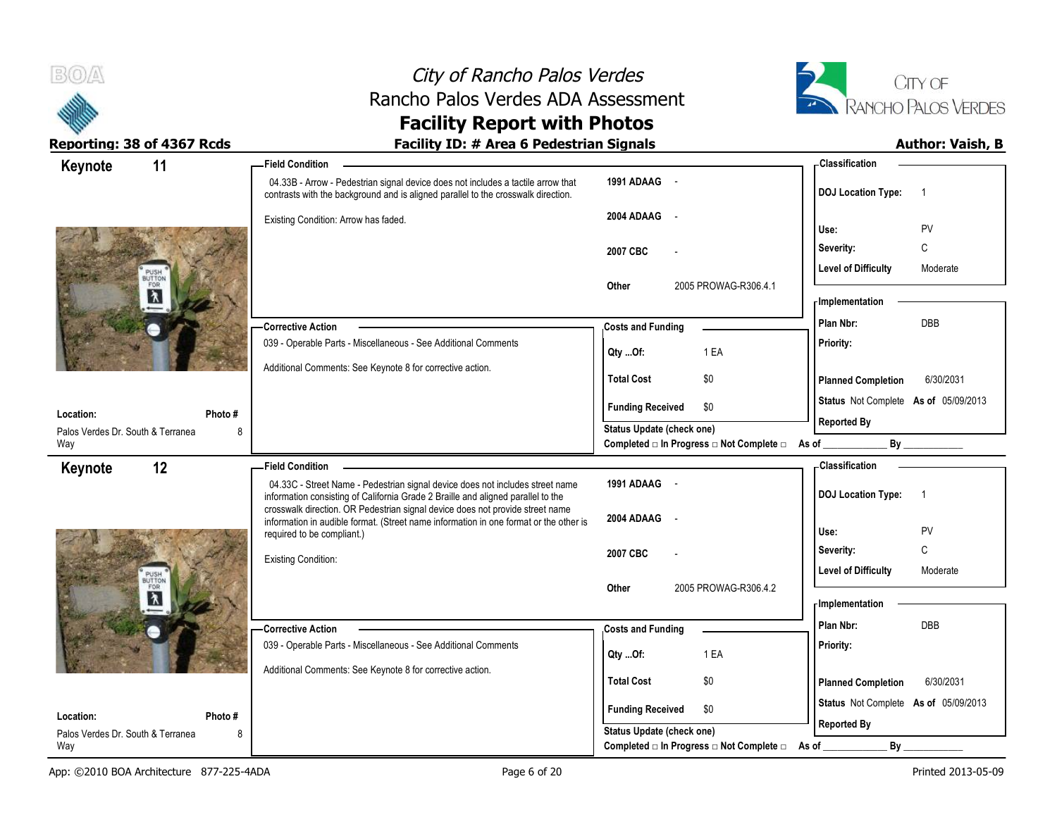



|                                                                                       | - Classification                                                                                                                       |
|---------------------------------------------------------------------------------------|----------------------------------------------------------------------------------------------------------------------------------------|
| 1991 ADAAG -                                                                          | <b>DOJ</b> Location Type:<br>$\overline{1}$                                                                                            |
| 2004 ADAAG<br>$\sim$                                                                  | PV<br>Use:                                                                                                                             |
| 2007 CBC                                                                              | C<br>Severity:                                                                                                                         |
|                                                                                       | <b>Level of Difficulty</b><br>Moderate                                                                                                 |
| 2005 PROWAG-R306.4.1<br>Other                                                         | - Implementation                                                                                                                       |
|                                                                                       | DBB<br>Plan Nbr:                                                                                                                       |
|                                                                                       | Priority:                                                                                                                              |
|                                                                                       | 6/30/2031<br><b>Planned Completion</b>                                                                                                 |
|                                                                                       | Status Not Complete As of 05/09/2013                                                                                                   |
|                                                                                       | <b>Reported By</b>                                                                                                                     |
| Completed □ In Progress □ Not Complete □ As of _                                      | By                                                                                                                                     |
|                                                                                       | - Classification                                                                                                                       |
|                                                                                       |                                                                                                                                        |
| 1991 ADAAG -                                                                          | $\overline{1}$                                                                                                                         |
| 2004 ADAAG                                                                            | <b>DOJ Location Type:</b>                                                                                                              |
| information in audible format. (Street name information in one format or the other is | Use:<br>PV                                                                                                                             |
| 2007 CBC                                                                              | C<br>Severity:                                                                                                                         |
|                                                                                       | <b>Level of Difficulty</b><br>Moderate                                                                                                 |
| 2005 PROWAG-R306.4.2<br>Other                                                         | <b>Implementation</b>                                                                                                                  |
| <b>Costs and Funding</b>                                                              | Plan Nbr:<br><b>DBB</b>                                                                                                                |
| 1 EA                                                                                  | Priority:                                                                                                                              |
| Qty Of:                                                                               |                                                                                                                                        |
| <b>Total Cost</b><br>\$0                                                              | <b>Planned Completion</b><br>6/30/2031                                                                                                 |
| <b>Funding Received</b><br>\$0<br>Status Update (check one)                           | Status Not Complete As of 05/09/2013<br><b>Reported By</b>                                                                             |
|                                                                                       | <b>Costs and Funding</b><br>1 EA<br>Qty Of:<br><b>Total Cost</b><br>\$0<br><b>Funding Received</b><br>\$0<br>Status Update (check one) |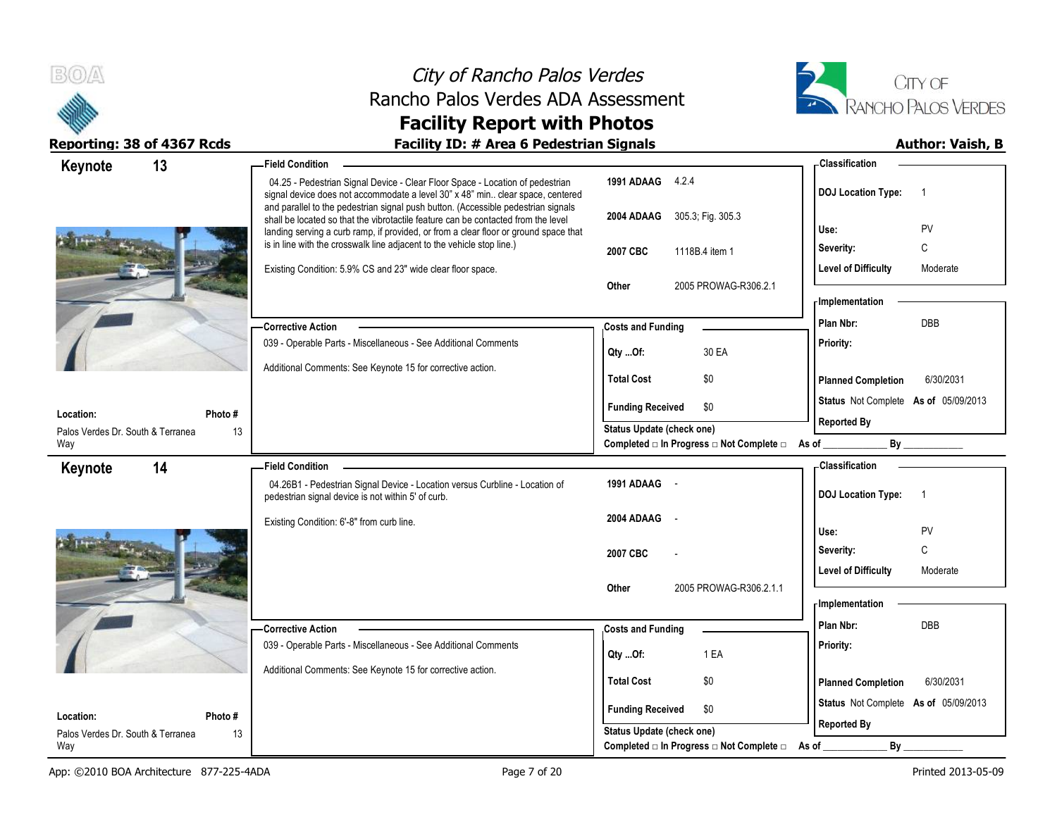



| Reporting: 38 of 4367 Rcds              | <b>Facility ID: # Area 6 Pedestrian Signals</b>                                                                                                                                                                                                                |                                                | <b>Author: Vaish, B</b>                     |
|-----------------------------------------|----------------------------------------------------------------------------------------------------------------------------------------------------------------------------------------------------------------------------------------------------------------|------------------------------------------------|---------------------------------------------|
| 13<br>Keynote                           | <b>Field Condition</b>                                                                                                                                                                                                                                         |                                                | <b>Classification</b>                       |
|                                         | 04.25 - Pedestrian Signal Device - Clear Floor Space - Location of pedestrian<br>signal device does not accommodate a level 30" x 48" min clear space, centered                                                                                                | 1991 ADAAG 4.2.4                               | <b>DOJ Location Type:</b><br>$\overline{1}$ |
|                                         | and parallel to the pedestrian signal push button. (Accessible pedestrian signals<br>shall be located so that the vibrotactile feature can be contacted from the level<br>landing serving a curb ramp, if provided, or from a clear floor or ground space that | 2004 ADAAG 305.3; Fig. 305.3                   | PV<br>Use:                                  |
|                                         | is in line with the crosswalk line adjacent to the vehicle stop line.)                                                                                                                                                                                         | 2007 CBC<br>1118B.4 item 1                     | $\mathsf{C}$<br>Severity:                   |
|                                         | Existing Condition: 5.9% CS and 23" wide clear floor space.                                                                                                                                                                                                    | Other<br>2005 PROWAG-R306.2.1                  | <b>Level of Difficulty</b><br>Moderate      |
|                                         |                                                                                                                                                                                                                                                                |                                                | <b>Implementation</b>                       |
|                                         | — Corrective Action                                                                                                                                                                                                                                            | <b>Costs and Funding</b>                       | Plan Nbr:<br><b>DBB</b>                     |
|                                         | 039 - Operable Parts - Miscellaneous - See Additional Comments<br>Additional Comments: See Keynote 15 for corrective action.                                                                                                                                   | Qty Of:<br>30 EA                               | Priority:                                   |
|                                         |                                                                                                                                                                                                                                                                | <b>Total Cost</b><br>\$0                       | 6/30/2031<br><b>Planned Completion</b>      |
| Photo#<br>Location:                     |                                                                                                                                                                                                                                                                | \$0<br><b>Funding Received</b>                 | Status Not Complete As of 05/09/2013        |
| 13<br>Palos Verdes Dr. South & Terranea |                                                                                                                                                                                                                                                                | Status Update (check one)                      | <b>Reported By</b>                          |
| Way                                     |                                                                                                                                                                                                                                                                | Completed □ In Progress □ Not Complete □ As of |                                             |
| 14<br>Keynote                           | <b>Field Condition</b>                                                                                                                                                                                                                                         |                                                | <b>Classification</b>                       |
|                                         | 04.26B1 - Pedestrian Signal Device - Location versus Curbline - Location of<br>pedestrian signal device is not within 5' of curb.                                                                                                                              | 1991 ADAAG -                                   | <b>DOJ Location Type:</b><br>$\overline{1}$ |
|                                         | Existing Condition: 6'-8" from curb line.                                                                                                                                                                                                                      | 2004 ADAAG                                     |                                             |
|                                         |                                                                                                                                                                                                                                                                |                                                | Use:<br>PV<br>$\mathsf{C}$<br>Severity:     |
|                                         |                                                                                                                                                                                                                                                                | 2007 CBC                                       | <b>Level of Difficulty</b><br>Moderate      |
|                                         |                                                                                                                                                                                                                                                                | Other<br>2005 PROWAG-R306.2.1.1                |                                             |
|                                         |                                                                                                                                                                                                                                                                |                                                | - Implementation                            |
|                                         | -Corrective Action                                                                                                                                                                                                                                             | <b>Costs and Funding</b>                       | Plan Nbr:<br><b>DBB</b>                     |
|                                         | 039 - Operable Parts - Miscellaneous - See Additional Comments                                                                                                                                                                                                 | 1 EA<br>Qty Of:                                | Priority:                                   |
|                                         | Additional Comments: See Keynote 15 for corrective action.                                                                                                                                                                                                     |                                                |                                             |
|                                         |                                                                                                                                                                                                                                                                | <b>Total Cost</b><br>\$0                       | <b>Planned Completion</b><br>6/30/2031      |
| Location:<br>Photo#                     |                                                                                                                                                                                                                                                                | <b>Funding Received</b><br>\$0                 | Status Not Complete As of 05/09/2013        |
| Palos Verdes Dr. South & Terranea<br>13 |                                                                                                                                                                                                                                                                | Status Update (check one)                      | <b>Reported By</b>                          |
| Way                                     |                                                                                                                                                                                                                                                                | Completed □ In Progress □ Not Complete □       | By<br>As of                                 |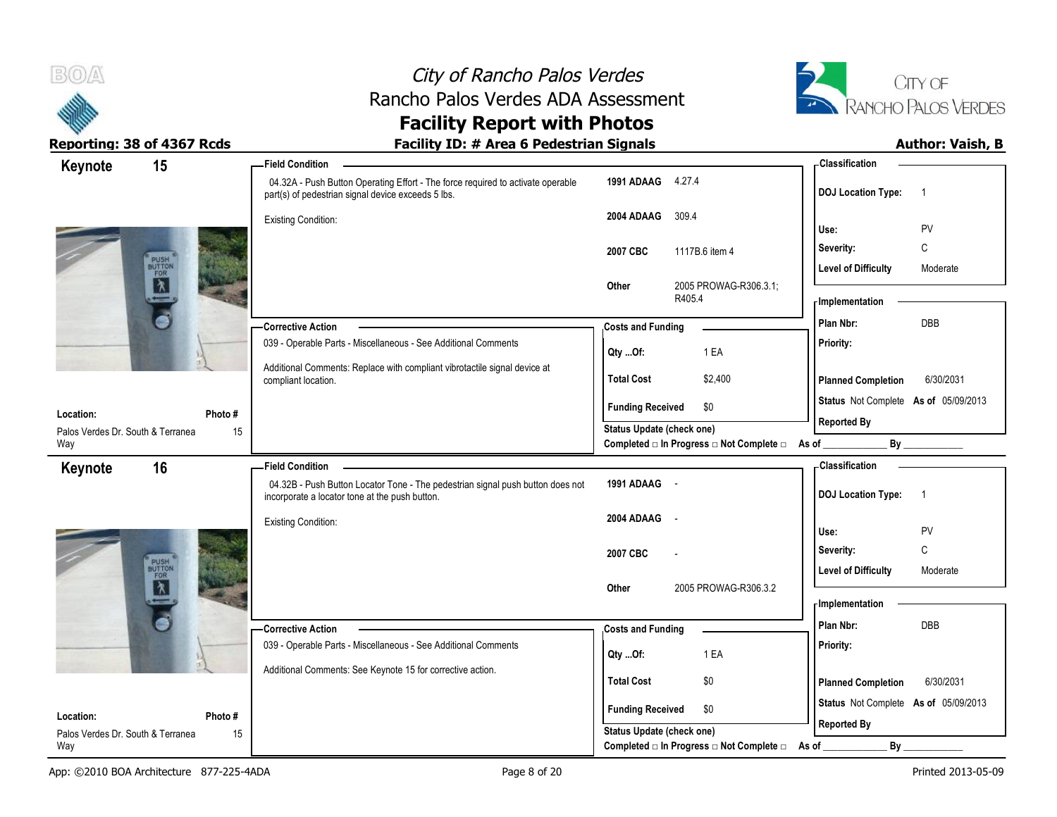

# City of Rancho Palos Verdes Rancho Palos Verdes ADA Assessment



| Keynote                           | 15                    | -Field Condition                                                                                                                      |                                  |                                                  | - Classification                     |                |
|-----------------------------------|-----------------------|---------------------------------------------------------------------------------------------------------------------------------------|----------------------------------|--------------------------------------------------|--------------------------------------|----------------|
|                                   |                       | 04.32A - Push Button Operating Effort - The force required to activate operable<br>part(s) of pedestrian signal device exceeds 5 lbs. | 1991 ADAAG                       | 4.27.4                                           | <b>DOJ Location Type:</b>            | $\overline{1}$ |
|                                   |                       | Existing Condition:                                                                                                                   | 2004 ADAAG                       | 309.4                                            |                                      |                |
|                                   |                       |                                                                                                                                       |                                  |                                                  | Use:                                 | PV             |
|                                   |                       |                                                                                                                                       | 2007 CBC                         | 1117B.6 item 4                                   | Severity:                            | $\mathsf{C}$   |
|                                   | PUSH<br>BUTTOR<br>MAR |                                                                                                                                       |                                  |                                                  | <b>Level of Difficulty</b>           | Moderate       |
|                                   |                       |                                                                                                                                       | Other                            | 2005 PROWAG-R306.3.1;<br>R405.4                  | - Implementation                     |                |
|                                   |                       | -Corrective Action                                                                                                                    | <b>Costs and Funding</b>         |                                                  | Plan Nbr:                            | DBB            |
|                                   |                       | 039 - Operable Parts - Miscellaneous - See Additional Comments                                                                        |                                  |                                                  | Priority:                            |                |
|                                   |                       | Additional Comments: Replace with compliant vibrotactile signal device at                                                             | Qty Of:                          | 1 EA                                             |                                      |                |
|                                   |                       | compliant location.                                                                                                                   | <b>Total Cost</b>                | \$2,400                                          | <b>Planned Completion</b>            | 6/30/2031      |
| Location:                         | Photo#                |                                                                                                                                       | <b>Funding Received</b>          | \$0                                              | Status Not Complete As of 05/09/2013 |                |
| Palos Verdes Dr. South & Terranea | 15                    |                                                                                                                                       | <b>Status Update (check one)</b> |                                                  | <b>Reported By</b>                   |                |
| Way                               |                       |                                                                                                                                       |                                  | Completed □ In Progress □ Not Complete □ As of _ |                                      | By             |
| Keynote                           | 16                    | -Field Condition                                                                                                                      |                                  |                                                  | - Classification                     |                |
|                                   |                       | 04.32B - Push Button Locator Tone - The pedestrian signal push button does not<br>incorporate a locator tone at the push button.      | 1991 ADAAG -                     |                                                  | <b>DOJ Location Type:</b>            | $\overline{1}$ |
|                                   |                       | <b>Existing Condition:</b>                                                                                                            | 2004 ADAAG                       | $\sim$                                           |                                      |                |
|                                   |                       |                                                                                                                                       |                                  |                                                  | Use:                                 | PV             |
|                                   |                       |                                                                                                                                       | 2007 CBC                         |                                                  | Severity:                            | C              |
|                                   | PUSH<br>BUTTON<br>MAR |                                                                                                                                       | Other                            | 2005 PROWAG-R306.3.2                             | <b>Level of Difficulty</b>           | Moderate       |
|                                   |                       |                                                                                                                                       |                                  |                                                  | - Implementation                     |                |
|                                   |                       | -Corrective Action                                                                                                                    |                                  |                                                  | Plan Nbr:                            | DBB            |
|                                   |                       | 039 - Operable Parts - Miscellaneous - See Additional Comments                                                                        | <b>Costs and Funding</b>         |                                                  | Priority:                            |                |
|                                   |                       |                                                                                                                                       | Qty Of:                          | 1 EA                                             |                                      |                |
|                                   |                       | Additional Comments: See Keynote 15 for corrective action.                                                                            | <b>Total Cost</b>                | \$0                                              | <b>Planned Completion</b>            | 6/30/2031      |
|                                   |                       |                                                                                                                                       |                                  |                                                  | Status Not Complete As of 05/09/2013 |                |
| Location:                         | Photo#                |                                                                                                                                       | <b>Funding Received</b>          | \$0                                              | <b>Reported By</b>                   |                |
| Palos Verdes Dr. South & Terranea | 15                    |                                                                                                                                       | <b>Status Update (check one)</b> |                                                  |                                      |                |
| Way                               |                       |                                                                                                                                       |                                  | Completed □ In Progress □ Not Complete □         | By<br>As of                          |                |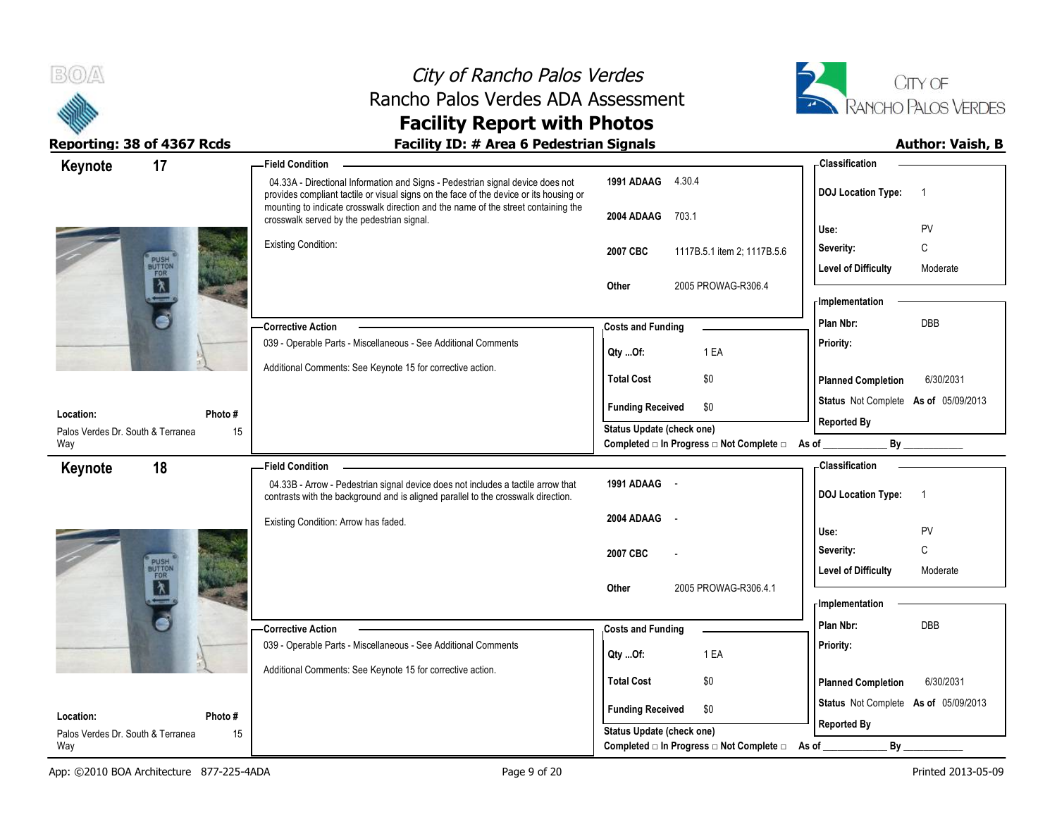



### **Reporting: 38 of 4367 Rcds Facility ID: # Area 6 Pedestrian Signals Author: Vaish, B**

 04.33A - Directional Information and Signs - Pedestrian signal device does not provides compliant tactile or visual signs on the face of the device or its housing or mounting to indicate crosswalk direction and the name of the street containing the crosswalk served by the pedestrian signal. Existing Condition: 039 - Operable Parts - Miscellaneous - See Additional Comments Additional Comments: See Keynote 15 for corrective action. **Corrective Action Photo #** 15 **1991 ADAAG** 4.30.4 **2004 ADAAG** 703.1 **2007 CBC** 1117B.5.1 item 2; 1117B.5.6 **Other** 2005 PROWAG-R306.4 **Priority: Total Cost** \$0 **17 Field Condition Status** Not Complete **As of** 05/09/2013 **Keynote Costs and Funding <b>Plan Nbr:** DBB **Use:** PV **Severity:** C **DOJ Location Type:** 1 **Level of Difficulty** Moderate **Location:** Palos Verdes Dr. South & Terranea Way **Planned Completion** 6/30/2031 **Classification Implementation Funding Received \$0 Status Update (check one)** Completed □ In Progress □ Not Complete □ As of \_\_\_\_\_\_\_\_\_\_\_\_\_\_\_\_\_\_\_\_\_\_\_\_\_\_\_\_\_\_\_\_\_ **Reported By Qty ...Of:** 1 EA 04.33B - Arrow - Pedestrian signal device does not includes a tactile arrow that contrasts with the background and is aligned parallel to the crosswalk direction. Existing Condition: Arrow has faded. 039 - Operable Parts - Miscellaneous - See Additional Comments Additional Comments: See Keynote 15 for corrective action. **Corrective Action Photo #** 15 **1991 ADAAG** - **2004 ADAAG** - **2007 CBC** - **Other** 2005 PROWAG-R306 4.1 **Priority: Total Cost** \$0 **18 Field Condition Status** Not Complete **As of** 05/09/2013 **Keynote Costs and Funding <b>Plan Nbr:** DBB **Use:** PV **Severity:** C **DOJ Location Type:** 1 Level of Difficulty Moderate **Location:** Palos Verdes Dr. South & Terranea Way **Planned Completion** 6/30/2031 **Classification Implementation Funding Received \$0 Status Update (check one)** Completed □ In Progress □ Not Complete □ As of \_\_\_\_\_\_\_\_\_\_\_\_\_\_\_\_\_\_\_\_\_\_\_\_\_\_\_\_\_\_\_\_\_ **Reported By Qty ...Of:** 1 EA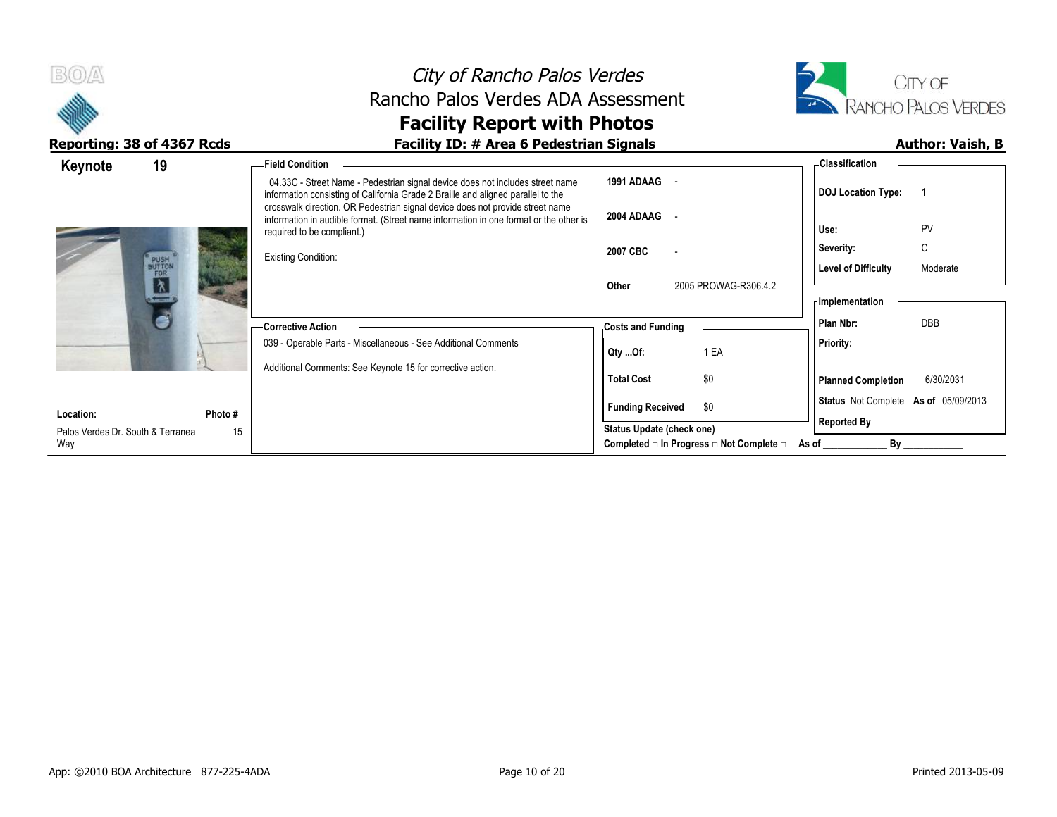



| Keynote                           | 19                                               |         | -Field Condition                                                                                                                                                                                                                                   |                           |                                          | - Classification                     |           |
|-----------------------------------|--------------------------------------------------|---------|----------------------------------------------------------------------------------------------------------------------------------------------------------------------------------------------------------------------------------------------------|---------------------------|------------------------------------------|--------------------------------------|-----------|
|                                   |                                                  |         | 04.33C - Street Name - Pedestrian signal device does not includes street name<br>information consisting of California Grade 2 Braille and aligned parallel to the<br>crosswalk direction. OR Pedestrian signal device does not provide street name | 1991 ADAAG                |                                          | <b>DOJ</b> Location Type:            |           |
|                                   |                                                  |         | information in audible format. (Street name information in one format or the other is<br>required to be compliant.)                                                                                                                                | 2004 ADAAG                |                                          | Use:                                 | PV        |
|                                   |                                                  |         | <b>Existing Condition:</b>                                                                                                                                                                                                                         | 2007 CBC                  |                                          | Severity:                            | C         |
|                                   | PUSH<br>BUTTON<br>FOR<br>$\overline{\mathbf{X}}$ |         |                                                                                                                                                                                                                                                    | Other                     | 2005 PROWAG-R306.4.2                     | <b>Level of Difficulty</b>           | Moderate  |
|                                   | $\leftarrow$                                     |         |                                                                                                                                                                                                                                                    |                           |                                          | - Implementation                     |           |
|                                   |                                                  |         | -Corrective Action                                                                                                                                                                                                                                 | <b>Costs and Funding</b>  |                                          | Plan Nbr:                            | DBB       |
|                                   |                                                  |         | 039 - Operable Parts - Miscellaneous - See Additional Comments                                                                                                                                                                                     | Qty Of:                   | 1 EA                                     | Priority:                            |           |
|                                   |                                                  |         | Additional Comments: See Keynote 15 for corrective action.                                                                                                                                                                                         | <b>Total Cost</b>         | \$0                                      | <b>Planned Completion</b>            | 6/30/2031 |
| Location:                         |                                                  | Photo # |                                                                                                                                                                                                                                                    | <b>Funding Received</b>   | \$0                                      | Status Not Complete As of 05/09/2013 |           |
| Palos Verdes Dr. South & Terranea |                                                  | 15      |                                                                                                                                                                                                                                                    | Status Update (check one) |                                          | <b>Reported By</b>                   |           |
| Way                               |                                                  |         |                                                                                                                                                                                                                                                    |                           | Completed □ In Progress □ Not Complete □ | By<br>As of                          |           |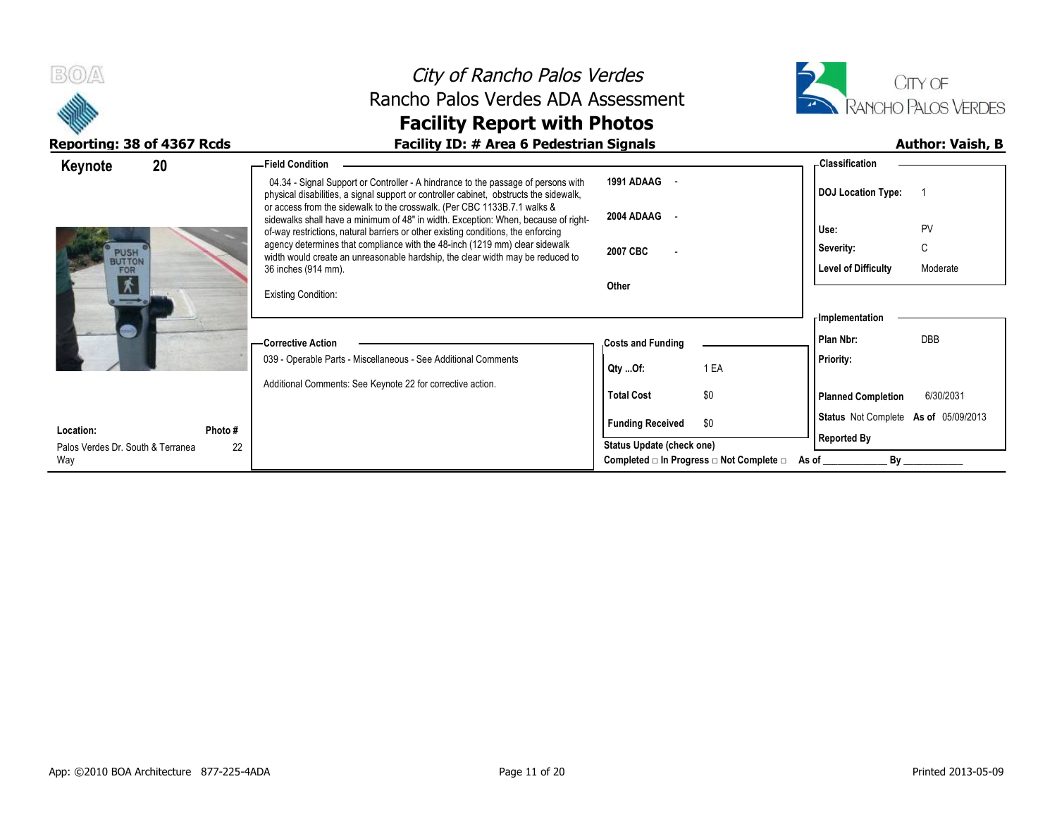



| 20<br>Keynote                           | - Field Condition                                                                                                                                                                                                                                       |                           |                                                         | <b>Classification</b>                |            |
|-----------------------------------------|---------------------------------------------------------------------------------------------------------------------------------------------------------------------------------------------------------------------------------------------------------|---------------------------|---------------------------------------------------------|--------------------------------------|------------|
|                                         | 04.34 - Signal Support or Controller - A hindrance to the passage of persons with<br>physical disabilities, a signal support or controller cabinet, obstructs the sidewalk,<br>or access from the sidewalk to the crosswalk. (Per CBC 1133B.7.1 walks & | 1991 ADAAG -              |                                                         | <b>DOJ Location Type:</b>            |            |
|                                         | sidewalks shall have a minimum of 48" in width. Exception: When, because of right-<br>of-way restrictions, natural barriers or other existing conditions, the enforcing                                                                                 | 2004 ADAAG -              |                                                         | Use:                                 | PV         |
| <b>PUSH</b><br><b>BUTTON</b>            | agency determines that compliance with the 48-inch (1219 mm) clear sidewalk<br>width would create an unreasonable hardship, the clear width may be reduced to                                                                                           | 2007 CBC                  |                                                         | Severity:                            | C          |
| FOR                                     | 36 inches (914 mm).                                                                                                                                                                                                                                     |                           |                                                         | <b>Level of Difficulty</b>           | Moderate   |
| 木                                       | <b>Existing Condition:</b>                                                                                                                                                                                                                              | Other                     |                                                         |                                      |            |
|                                         |                                                                                                                                                                                                                                                         |                           |                                                         | Implementation                       |            |
|                                         | -Corrective Action                                                                                                                                                                                                                                      | <b>Costs and Funding</b>  |                                                         | Plan Nbr:                            | <b>DBB</b> |
|                                         | 039 - Operable Parts - Miscellaneous - See Additional Comments                                                                                                                                                                                          | Qty Of:                   | 1 EA                                                    | Priority:                            |            |
|                                         | Additional Comments: See Keynote 22 for corrective action.                                                                                                                                                                                              | <b>Total Cost</b>         | \$0                                                     | <b>Planned Completion</b>            | 6/30/2031  |
|                                         |                                                                                                                                                                                                                                                         |                           |                                                         | Status Not Complete As of 05/09/2013 |            |
| Location:<br>Photo #                    |                                                                                                                                                                                                                                                         | <b>Funding Received</b>   | \$0                                                     |                                      |            |
| 22<br>Palos Verdes Dr. South & Terranea |                                                                                                                                                                                                                                                         | Status Update (check one) |                                                         | <b>Reported By</b>                   |            |
| Way                                     |                                                                                                                                                                                                                                                         |                           | Completed $\Box$ In Progress $\Box$ Not Complete $\Box$ | By<br>As of                          |            |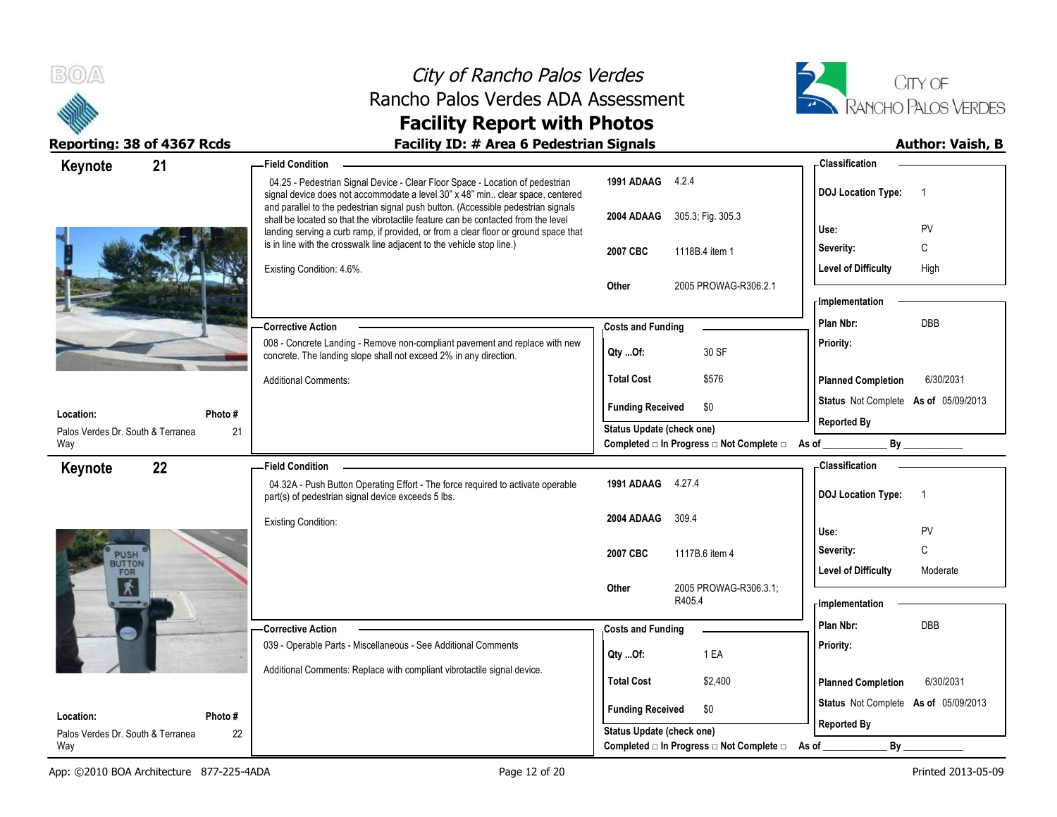



| 21<br>Keynote                                  | - Field Condition                                                                                                                                                                                                                                    |                                                                    | - Classification                            |
|------------------------------------------------|------------------------------------------------------------------------------------------------------------------------------------------------------------------------------------------------------------------------------------------------------|--------------------------------------------------------------------|---------------------------------------------|
|                                                | 04.25 - Pedestrian Signal Device - Clear Floor Space - Location of pedestrian<br>signal device does not accommodate a level 30" x 48" min clear space, centered<br>and parallel to the pedestrian signal push button. (Accessible pedestrian signals | 1991 ADAAG 4.2.4                                                   | <b>DOJ Location Type:</b><br>$\overline{1}$ |
|                                                | shall be located so that the vibrotactile feature can be contacted from the level<br>landing serving a curb ramp, if provided, or from a clear floor or ground space that                                                                            | 305.3; Fig. 305.3<br>2004 ADAAG                                    | PV<br>Use:                                  |
|                                                | is in line with the crosswalk line adjacent to the vehicle stop line.)                                                                                                                                                                               | 2007 CBC<br>1118B.4 item 1                                         | C<br>Severity:                              |
|                                                | Existing Condition: 4.6%.                                                                                                                                                                                                                            |                                                                    | <b>Level of Difficulty</b><br>High          |
|                                                |                                                                                                                                                                                                                                                      | Other<br>2005 PROWAG-R306.2.1                                      |                                             |
|                                                |                                                                                                                                                                                                                                                      |                                                                    | - Implementation                            |
|                                                | <b>Corrective Action</b>                                                                                                                                                                                                                             | <b>Costs and Funding</b>                                           | DBB<br>Plan Nbr:                            |
|                                                | 008 - Concrete Landing - Remove non-compliant pavement and replace with new<br>concrete. The landing slope shall not exceed 2% in any direction.                                                                                                     | 30 SF<br>Qty Of:                                                   | Priority:                                   |
|                                                | <b>Additional Comments:</b>                                                                                                                                                                                                                          | <b>Total Cost</b><br>\$576                                         | <b>Planned Completion</b><br>6/30/2031      |
| Location:                                      | Photo #                                                                                                                                                                                                                                              | \$0<br><b>Funding Received</b>                                     | Status Not Complete As of 05/09/2013        |
| Palos Verdes Dr. South & Terranea              | 21                                                                                                                                                                                                                                                   | <b>Status Update (check one)</b>                                   | <b>Reported By</b>                          |
| Way                                            |                                                                                                                                                                                                                                                      | Completed □ In Progress □ Not Complete □ As of _______             | By                                          |
| 22<br>Keynote                                  | <b>Field Condition</b>                                                                                                                                                                                                                               |                                                                    | <b>Classification</b>                       |
|                                                | 04.32A - Push Button Operating Effort - The force required to activate operable<br>part(s) of pedestrian signal device exceeds 5 lbs.                                                                                                                | 1991 ADAAG 4.27.4                                                  | <b>DOJ Location Type:</b><br>$\overline{1}$ |
|                                                | <b>Existing Condition:</b>                                                                                                                                                                                                                           | 2004 ADAAG<br>309.4                                                |                                             |
|                                                |                                                                                                                                                                                                                                                      |                                                                    | PV<br>Use:                                  |
| PUSH                                           |                                                                                                                                                                                                                                                      | 2007 CBC<br>1117B.6 item 4                                         | C<br>Severity:                              |
| FOR                                            |                                                                                                                                                                                                                                                      |                                                                    |                                             |
|                                                |                                                                                                                                                                                                                                                      |                                                                    | <b>Level of Difficulty</b><br>Moderate      |
| $\overline{\mathbf{x}}$                        |                                                                                                                                                                                                                                                      | 2005 PROWAG-R306.3.1;<br>Other<br>R405.4                           | - Implementation                            |
|                                                |                                                                                                                                                                                                                                                      |                                                                    | Plan Nbr:                                   |
|                                                | <b>Corrective Action</b>                                                                                                                                                                                                                             | <b>Costs and Funding</b>                                           | DBB                                         |
|                                                | 039 - Operable Parts - Miscellaneous - See Additional Comments                                                                                                                                                                                       | 1 EA<br>Qty Of:                                                    | Priority:                                   |
|                                                | Additional Comments: Replace with compliant vibrotactile signal device.                                                                                                                                                                              | <b>Total Cost</b><br>\$2,400                                       | <b>Planned Completion</b><br>6/30/2031      |
|                                                |                                                                                                                                                                                                                                                      |                                                                    | Status Not Complete As of 05/09/2013        |
| Location:<br>Palos Verdes Dr. South & Terranea | Photo #<br>22                                                                                                                                                                                                                                        | <b>Funding Received</b><br>\$0<br><b>Status Update (check one)</b> | <b>Reported By</b>                          |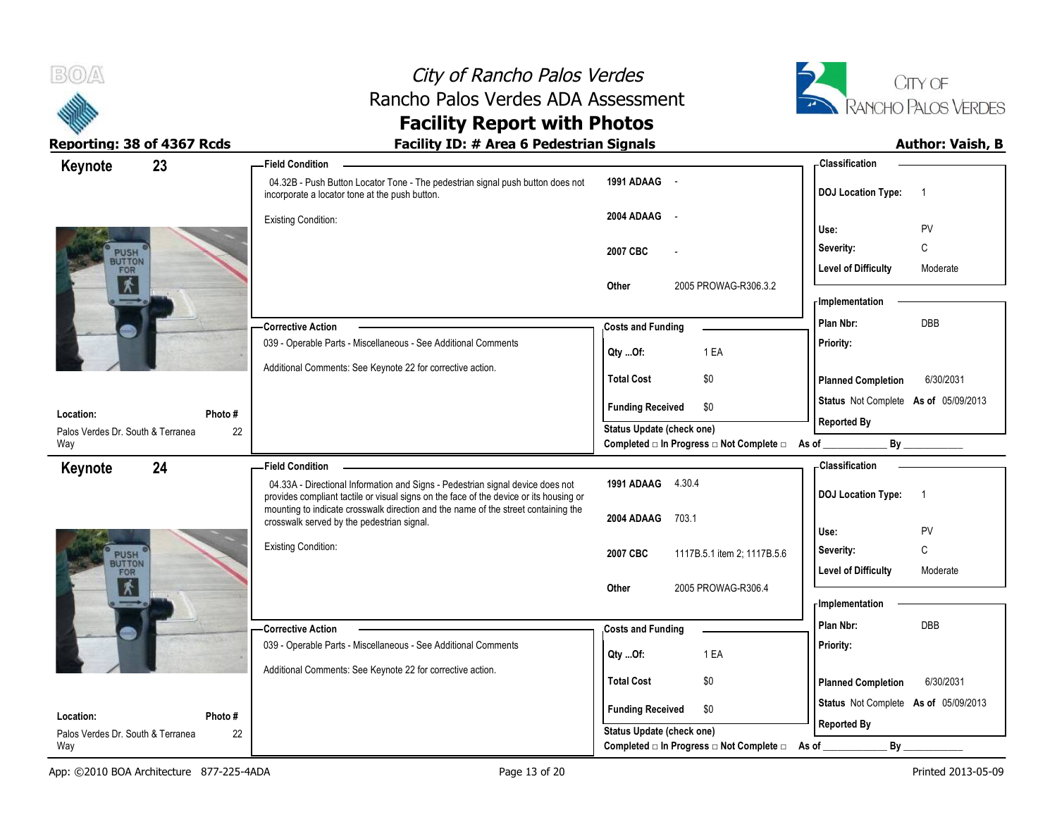



| 23<br>Keynote                                             | <b>Field Condition</b>                                                                                                                                                                                                                                         |                                                             | - Classification                            |
|-----------------------------------------------------------|----------------------------------------------------------------------------------------------------------------------------------------------------------------------------------------------------------------------------------------------------------------|-------------------------------------------------------------|---------------------------------------------|
|                                                           | 04.32B - Push Button Locator Tone - The pedestrian signal push button does not<br>incorporate a locator tone at the push button.                                                                                                                               | 1991 ADAAG -                                                | <b>DOJ Location Type:</b><br>$\overline{1}$ |
|                                                           | <b>Existing Condition:</b>                                                                                                                                                                                                                                     | 2004 ADAAG -                                                | Use:<br>PV                                  |
|                                                           |                                                                                                                                                                                                                                                                | 2007 CBC                                                    | C<br>Severity:                              |
| PUSH<br>FOR                                               |                                                                                                                                                                                                                                                                |                                                             | <b>Level of Difficulty</b><br>Moderate      |
| $\mathbf{v}$                                              |                                                                                                                                                                                                                                                                | Other<br>2005 PROWAG-R306.3.2                               | - Implementation                            |
|                                                           | <b>Corrective Action</b>                                                                                                                                                                                                                                       | <b>Costs and Funding</b>                                    | DBB<br>Plan Nbr:                            |
|                                                           | 039 - Operable Parts - Miscellaneous - See Additional Comments                                                                                                                                                                                                 | 1 EA<br>QtyOf:                                              | Priority:                                   |
|                                                           | Additional Comments: See Keynote 22 for corrective action.                                                                                                                                                                                                     | <b>Total Cost</b><br>\$0                                    | <b>Planned Completion</b><br>6/30/2031      |
| Location:<br>Photo #                                      |                                                                                                                                                                                                                                                                | <b>Funding Received</b><br>\$0                              | Status Not Complete As of 05/09/2013        |
| Palos Verdes Dr. South & Terranea                         | 22                                                                                                                                                                                                                                                             | Status Update (check one)                                   | <b>Reported By</b>                          |
| Way                                                       |                                                                                                                                                                                                                                                                | Completed □ In Progress □ Not Complete □ As of _            | By                                          |
| 24<br>Keynote                                             | <b>Field Condition</b>                                                                                                                                                                                                                                         |                                                             | - Classification                            |
|                                                           | 04.33A - Directional Information and Signs - Pedestrian signal device does not<br>provides compliant tactile or visual signs on the face of the device or its housing or<br>mounting to indicate crosswalk direction and the name of the street containing the | 1991 ADAAG 4.30.4                                           | <b>DOJ Location Type:</b><br>$\overline{1}$ |
|                                                           |                                                                                                                                                                                                                                                                |                                                             |                                             |
|                                                           | crosswalk served by the pedestrian signal.                                                                                                                                                                                                                     | 2004 ADAAG<br>703.1                                         |                                             |
|                                                           |                                                                                                                                                                                                                                                                |                                                             | Use:<br>PV                                  |
|                                                           | <b>Existing Condition:</b>                                                                                                                                                                                                                                     | 2007 CBC<br>1117B.5.1 item 2; 1117B.5.6                     | C<br>Severity:                              |
| PUSH<br>FOR                                               |                                                                                                                                                                                                                                                                |                                                             | <b>Level of Difficulty</b><br>Moderate      |
| $\overline{\mathbf{X}}$                                   |                                                                                                                                                                                                                                                                | 2005 PROWAG-R306.4<br>Other                                 | - Implementation                            |
|                                                           |                                                                                                                                                                                                                                                                |                                                             |                                             |
|                                                           | <b>Corrective Action</b>                                                                                                                                                                                                                                       | <b>Costs and Funding</b>                                    | Plan Nbr:<br><b>DBB</b>                     |
|                                                           | 039 - Operable Parts - Miscellaneous - See Additional Comments                                                                                                                                                                                                 | 1 EA<br>Qty Of:                                             | Priority:                                   |
|                                                           | Additional Comments: See Keynote 22 for corrective action.                                                                                                                                                                                                     | <b>Total Cost</b><br>\$0                                    | 6/30/2031<br><b>Planned Completion</b>      |
|                                                           |                                                                                                                                                                                                                                                                |                                                             | Status Not Complete As of 05/09/2013        |
| Location:<br>Photo #<br>Palos Verdes Dr. South & Terranea | 22                                                                                                                                                                                                                                                             | \$0<br><b>Funding Received</b><br>Status Update (check one) | <b>Reported By</b>                          |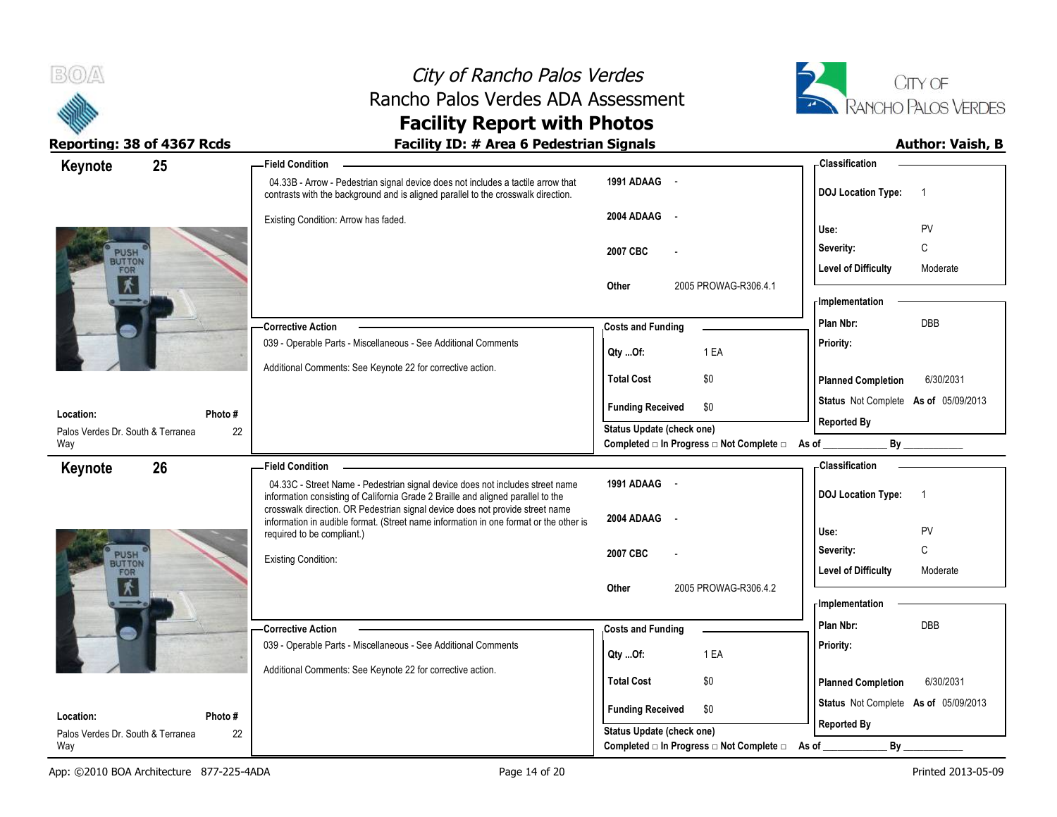



| 25<br>Keynote                            |         | - Field Condition                                                                                                                                                      |                                                                       | -Classification                             |
|------------------------------------------|---------|------------------------------------------------------------------------------------------------------------------------------------------------------------------------|-----------------------------------------------------------------------|---------------------------------------------|
|                                          |         | 04.33B - Arrow - Pedestrian signal device does not includes a tactile arrow that<br>contrasts with the background and is aligned parallel to the crosswalk direction.  | 1991 ADAAG -                                                          | <b>DOJ</b> Location Type:<br>$\overline{1}$ |
|                                          |         | Existing Condition: Arrow has faded.                                                                                                                                   | 2004 ADAAG<br>$\sim$                                                  | PV<br>Use:                                  |
|                                          |         |                                                                                                                                                                        | 2007 CBC                                                              | C<br>Severity:                              |
| PUSH <sup>®</sup><br>FOR<br>术            |         |                                                                                                                                                                        |                                                                       | <b>Level of Difficulty</b><br>Moderate      |
|                                          |         |                                                                                                                                                                        | 2005 PROWAG-R306.4.1<br>Other                                         | - Implementation                            |
|                                          |         | <b>Corrective Action</b>                                                                                                                                               | <b>Costs and Funding</b>                                              | DBB<br>Plan Nbr:                            |
|                                          |         | 039 - Operable Parts - Miscellaneous - See Additional Comments                                                                                                         | 1 EA<br>Qty Of:                                                       | Priority:                                   |
|                                          |         | Additional Comments: See Keynote 22 for corrective action.                                                                                                             | \$0<br><b>Total Cost</b>                                              | <b>Planned Completion</b><br>6/30/2031      |
| Location:                                | Photo # |                                                                                                                                                                        | <b>Funding Received</b><br>\$0                                        | Status Not Complete As of 05/09/2013        |
| Palos Verdes Dr. South & Terranea        | 22      |                                                                                                                                                                        | Status Update (check one)                                             | <b>Reported By</b>                          |
| Way                                      |         |                                                                                                                                                                        | Completed □ In Progress □ Not Complete □ As of                        |                                             |
| 26<br>Keynote                            |         | <b>Field Condition</b>                                                                                                                                                 |                                                                       | - Classification                            |
|                                          |         | 04.33C - Street Name - Pedestrian signal device does not includes street name<br>information consisting of California Grade 2 Braille and aligned parallel to the      | 1991 ADAAG -                                                          | <b>DOJ Location Type:</b><br>$\overline{1}$ |
|                                          |         |                                                                                                                                                                        |                                                                       |                                             |
|                                          |         | crosswalk direction. OR Pedestrian signal device does not provide street name<br>information in audible format. (Street name information in one format or the other is | 2004 ADAAG                                                            |                                             |
|                                          |         | required to be compliant.)                                                                                                                                             |                                                                       | PV<br>Use:                                  |
| PUSH                                     |         | <b>Existing Condition:</b>                                                                                                                                             | 2007 CBC                                                              | C<br>Severity:                              |
| FOR                                      |         |                                                                                                                                                                        | 2005 PROWAG-R306.4.2<br>Other                                         | <b>Level of Difficulty</b><br>Moderate      |
| $\overline{\mathbf{x}}$                  |         |                                                                                                                                                                        |                                                                       | <b>Implementation</b>                       |
|                                          |         | <b>Corrective Action</b>                                                                                                                                               |                                                                       | Plan Nbr:<br><b>DBB</b>                     |
|                                          |         | 039 - Operable Parts - Miscellaneous - See Additional Comments                                                                                                         | <b>Costs and Funding</b>                                              | Priority:                                   |
|                                          |         | Additional Comments: See Keynote 22 for corrective action.                                                                                                             | 1 EA<br>Qty Of:                                                       |                                             |
|                                          |         |                                                                                                                                                                        | <b>Total Cost</b><br>\$0                                              | <b>Planned Completion</b><br>6/30/2031      |
| Location:                                | Photo # |                                                                                                                                                                        | <b>Funding Received</b><br>\$0                                        | Status Not Complete As of 05/09/2013        |
| Palos Verdes Dr. South & Terranea<br>Way | 22      |                                                                                                                                                                        | Status Update (check one)<br>Completed □ In Progress □ Not Complete □ | <b>Reported By</b><br>By<br>As of           |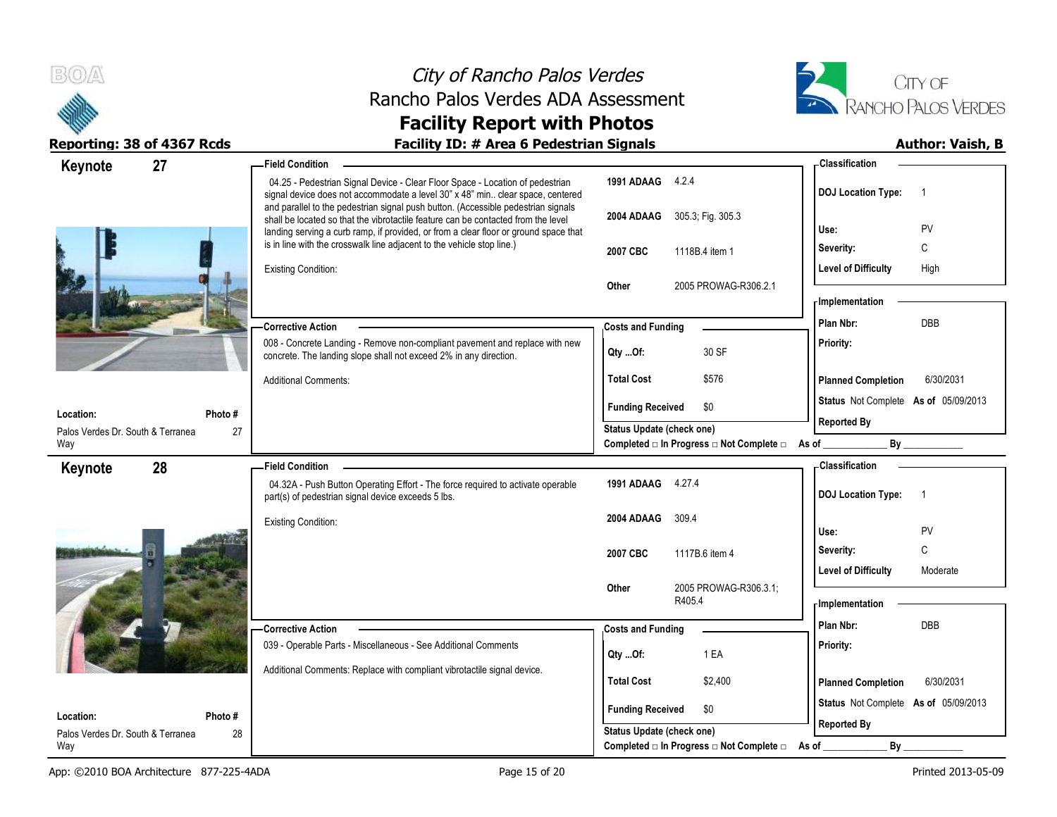



| 27<br>Keynote                                  | <b>Field Condition</b>                                                                                                                                                 |                                                               | - Classification                            |
|------------------------------------------------|------------------------------------------------------------------------------------------------------------------------------------------------------------------------|---------------------------------------------------------------|---------------------------------------------|
|                                                | 04.25 - Pedestrian Signal Device - Clear Floor Space - Location of pedestrian<br>signal device does not accommodate a level 30" x 48" min clear space, centered        | 1991 ADAAG 4.2.4                                              | <b>DOJ Location Type:</b><br>- 1            |
|                                                | and parallel to the pedestrian signal push button. (Accessible pedestrian signals<br>shall be located so that the vibrotactile feature can be contacted from the level | 305.3; Fig. 305.3<br>2004 ADAAG                               |                                             |
|                                                | landing serving a curb ramp, if provided, or from a clear floor or ground space that                                                                                   |                                                               | Use:<br>PV                                  |
|                                                | is in line with the crosswalk line adjacent to the vehicle stop line.)                                                                                                 | 1118B.4 item 1<br>2007 CBC                                    | Severity:<br>C                              |
|                                                | <b>Existing Condition:</b>                                                                                                                                             |                                                               | <b>Level of Difficulty</b><br>High          |
|                                                |                                                                                                                                                                        | 2005 PROWAG-R306.2.1<br>Other                                 | - Implementation                            |
|                                                |                                                                                                                                                                        |                                                               | <b>DBB</b>                                  |
|                                                | <b>Corrective Action</b>                                                                                                                                               | <b>Costs and Funding</b>                                      | Plan Nbr:                                   |
|                                                | 008 - Concrete Landing - Remove non-compliant pavement and replace with new<br>concrete. The landing slope shall not exceed 2% in any direction.                       | 30 SF<br>Qty Of:                                              | Priority:                                   |
|                                                | <b>Additional Comments:</b>                                                                                                                                            | <b>Total Cost</b><br>\$576                                    | <b>Planned Completion</b><br>6/30/2031      |
|                                                |                                                                                                                                                                        | <b>Funding Received</b><br>\$0                                | Status Not Complete As of 05/09/2013        |
| Location:<br>Photo #                           |                                                                                                                                                                        | Status Update (check one)                                     | <b>Reported By</b>                          |
| Palos Verdes Dr. South & Terranea<br>27<br>Way |                                                                                                                                                                        | Completed □ In Progress □ Not Complete □ As of                | By                                          |
| 28<br>Keynote                                  | <b>Field Condition</b>                                                                                                                                                 |                                                               | - Classification                            |
|                                                | 04.32A - Push Button Operating Effort - The force required to activate operable<br>part(s) of pedestrian signal device exceeds 5 lbs.                                  | 1991 ADAAG 4.27.4                                             | <b>DOJ Location Type:</b><br>$\overline{1}$ |
|                                                | <b>Existing Condition:</b>                                                                                                                                             | 2004 ADAAG<br>309.4                                           |                                             |
|                                                |                                                                                                                                                                        |                                                               | PV<br>Use:                                  |
|                                                |                                                                                                                                                                        | 2007 CBC<br>1117B.6 item 4                                    | C<br>Severity:                              |
|                                                |                                                                                                                                                                        |                                                               | <b>Level of Difficulty</b><br>Moderate      |
|                                                |                                                                                                                                                                        | 2005 PROWAG-R306.3.1;<br>Other<br>R405.4                      | <b>Implementation</b>                       |
|                                                |                                                                                                                                                                        |                                                               | <b>DBB</b><br>Plan Nbr:                     |
|                                                | -Corrective Action<br>039 - Operable Parts - Miscellaneous - See Additional Comments                                                                                   | <b>Costs and Funding</b>                                      | Priority:                                   |
|                                                |                                                                                                                                                                        | 1 EA<br>QtyOf:                                                |                                             |
|                                                | Additional Comments: Replace with compliant vibrotactile signal device.                                                                                                | <b>Total Cost</b><br>\$2,400                                  | 6/30/2031<br><b>Planned Completion</b>      |
|                                                |                                                                                                                                                                        |                                                               | Status Not Complete As of 05/09/2013        |
| Location:<br>Photo#                            |                                                                                                                                                                        | <b>Funding Received</b><br>\$0                                | <b>Reported By</b>                          |
| Palos Verdes Dr. South & Terranea<br>28        |                                                                                                                                                                        | <b>Status Update (check one)</b>                              |                                             |
| Way                                            |                                                                                                                                                                        | Completed $\Box$ In Progress $\Box$ Not Complete $\Box$ As of | By                                          |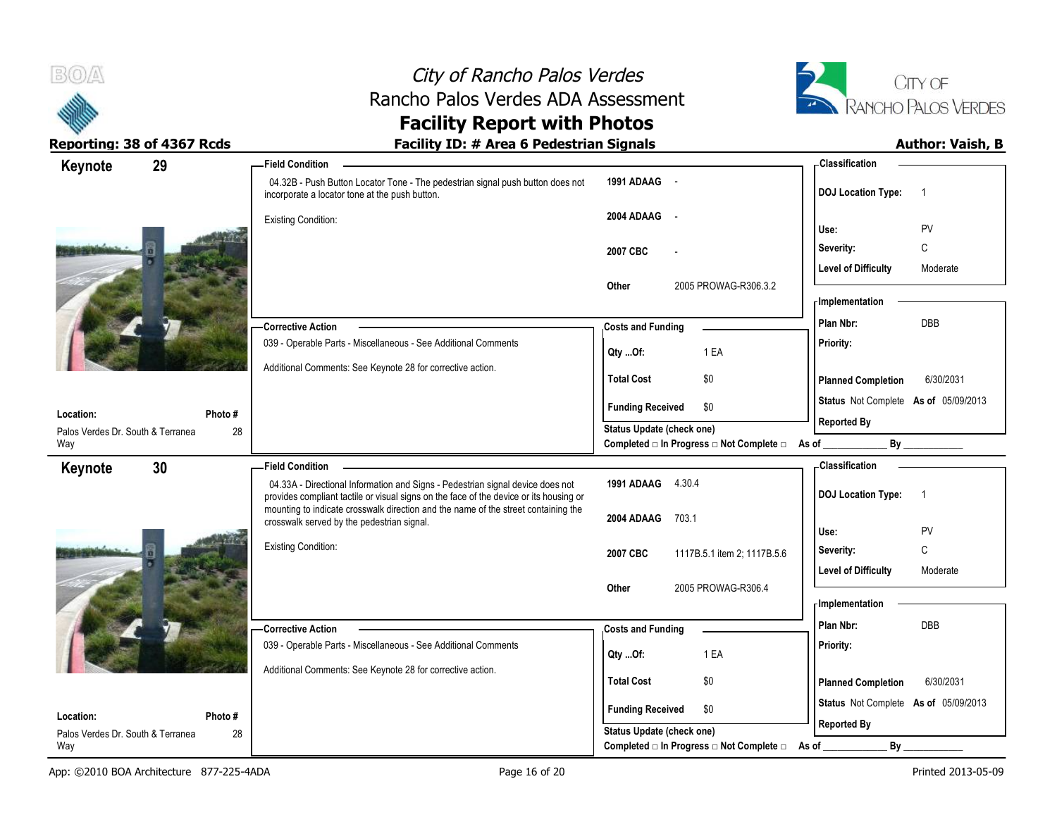



| Keynote                                  | 29     | <b>Field Condition</b>                                                                                                                                                   |                                                                             | <b>Classification</b>                       |
|------------------------------------------|--------|--------------------------------------------------------------------------------------------------------------------------------------------------------------------------|-----------------------------------------------------------------------------|---------------------------------------------|
|                                          |        | 04.32B - Push Button Locator Tone - The pedestrian signal push button does not<br>incorporate a locator tone at the push button.                                         | 1991 ADAAG -                                                                | <b>DOJ Location Type:</b><br>$\overline{1}$ |
|                                          |        | <b>Existing Condition:</b>                                                                                                                                               | 2004 ADAAG -                                                                |                                             |
|                                          |        |                                                                                                                                                                          |                                                                             | PV<br>Use:                                  |
|                                          |        |                                                                                                                                                                          | 2007 CBC                                                                    | C<br>Severity:                              |
|                                          |        |                                                                                                                                                                          |                                                                             | Level of Difficulty<br>Moderate             |
|                                          |        |                                                                                                                                                                          | 2005 PROWAG-R306.3.2<br>Other                                               | - Implementation                            |
|                                          |        | - Corrective Action                                                                                                                                                      | <b>Costs and Funding</b>                                                    | Plan Nbr:<br><b>DBB</b>                     |
|                                          |        | 039 - Operable Parts - Miscellaneous - See Additional Comments                                                                                                           |                                                                             | Priority:                                   |
|                                          |        |                                                                                                                                                                          | Qty Of:<br>1 EA                                                             |                                             |
|                                          |        | Additional Comments: See Keynote 28 for corrective action.                                                                                                               | <b>Total Cost</b><br>\$0                                                    | <b>Planned Completion</b><br>6/30/2031      |
| Location:                                | Photo# |                                                                                                                                                                          | <b>Funding Received</b><br>\$0                                              | Status Not Complete As of 05/09/2013        |
| Palos Verdes Dr. South & Terranea        | 28     |                                                                                                                                                                          | Status Update (check one)                                                   | <b>Reported By</b>                          |
| Way                                      |        |                                                                                                                                                                          | Completed □ In Progress □ Not Complete □ As of                              | By                                          |
| Keynote                                  | 30     | <b>Field Condition</b>                                                                                                                                                   |                                                                             | <b>Classification</b>                       |
|                                          |        | 04.33A - Directional Information and Signs - Pedestrian signal device does not<br>provides compliant tactile or visual signs on the face of the device or its housing or | 1991 ADAAG 4.30.4                                                           | <b>DOJ Location Type:</b><br>$\overline{1}$ |
|                                          |        | mounting to indicate crosswalk direction and the name of the street containing the<br>crosswalk served by the pedestrian signal.                                         | 2004 ADAAG<br>703.1                                                         |                                             |
|                                          |        |                                                                                                                                                                          |                                                                             | PV<br>Use:                                  |
|                                          |        | Existing Condition:                                                                                                                                                      | 2007 CBC<br>1117B.5.1 item 2; 1117B.5.6                                     | C<br>Severity:                              |
|                                          |        |                                                                                                                                                                          |                                                                             | <b>Level of Difficulty</b><br>Moderate      |
|                                          |        |                                                                                                                                                                          | Other<br>2005 PROWAG-R306.4                                                 | - Implementation                            |
|                                          |        |                                                                                                                                                                          |                                                                             | Plan Nbr:<br>DBB                            |
|                                          |        | - Corrective Action<br>039 - Operable Parts - Miscellaneous - See Additional Comments                                                                                    | <b>Costs and Funding</b>                                                    | Priority:                                   |
|                                          |        |                                                                                                                                                                          | 1 EA<br>Qty Of:                                                             |                                             |
|                                          |        | Additional Comments: See Keynote 28 for corrective action.                                                                                                               | <b>Total Cost</b><br>\$0                                                    | <b>Planned Completion</b><br>6/30/2031      |
|                                          |        |                                                                                                                                                                          |                                                                             | Status Not Complete As of 05/09/2013        |
| Location:                                | Photo# |                                                                                                                                                                          | <b>Funding Received</b><br>\$0                                              |                                             |
|                                          |        |                                                                                                                                                                          |                                                                             |                                             |
| Palos Verdes Dr. South & Terranea<br>Way | 28     |                                                                                                                                                                          | Status Update (check one)<br>Completed □ In Progress □ Not Complete □ As of | <b>Reported By</b><br>$By_$                 |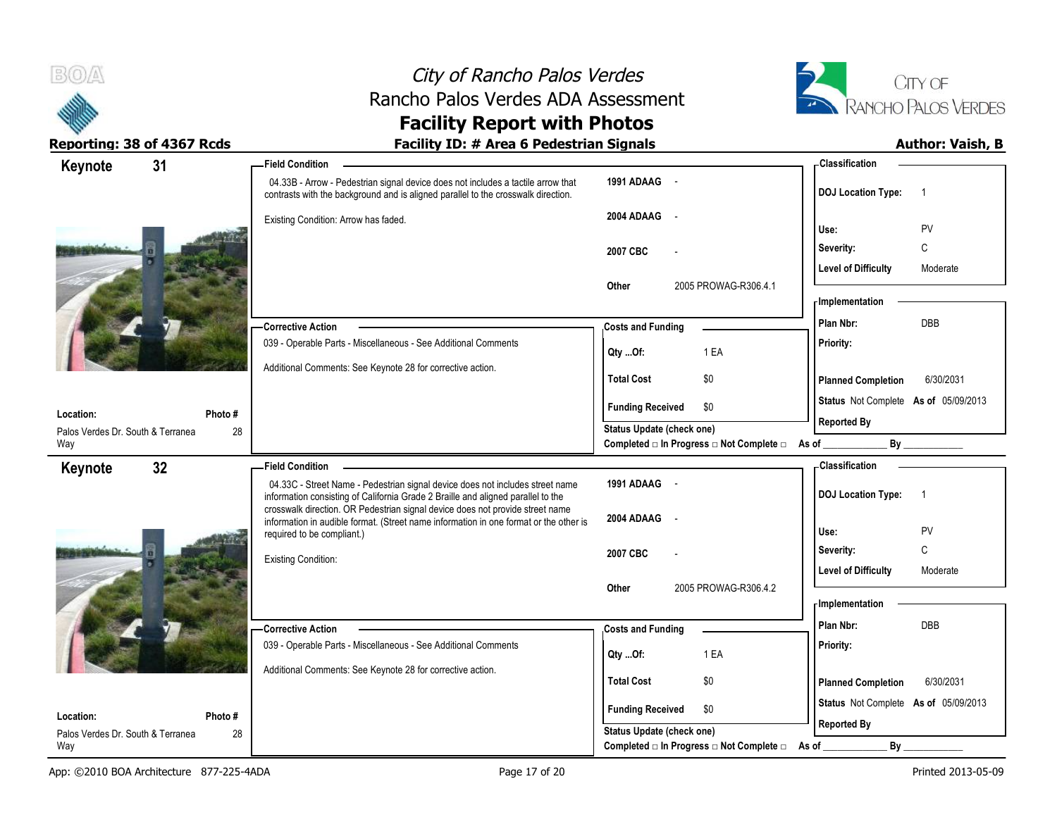



| 31<br>Keynote                                  | <b>Field Condition</b>                                                                                                                                                 |                                                                               | - Classification                                           |
|------------------------------------------------|------------------------------------------------------------------------------------------------------------------------------------------------------------------------|-------------------------------------------------------------------------------|------------------------------------------------------------|
|                                                | 04.33B - Arrow - Pedestrian signal device does not includes a tactile arrow that<br>contrasts with the background and is aligned parallel to the crosswalk direction.  | 1991 ADAAG -                                                                  | <b>DOJ Location Type:</b><br>$\overline{1}$                |
|                                                | Existing Condition: Arrow has faded.                                                                                                                                   | 2004 ADAAG                                                                    | PV<br>Use:                                                 |
|                                                |                                                                                                                                                                        | 2007 CBC                                                                      | C<br>Severity:                                             |
|                                                |                                                                                                                                                                        | 2005 PROWAG-R306.4.1<br>Other                                                 | <b>Level of Difficulty</b><br>Moderate                     |
|                                                |                                                                                                                                                                        |                                                                               | - Implementation                                           |
|                                                | Corrective Action                                                                                                                                                      | <b>Costs and Funding</b>                                                      | <b>DBB</b><br>Plan Nbr:                                    |
|                                                | 039 - Operable Parts - Miscellaneous - See Additional Comments                                                                                                         | 1 EA<br>Qty Of:                                                               | Priority:                                                  |
|                                                | Additional Comments: See Keynote 28 for corrective action.                                                                                                             | <b>Total Cost</b><br>\$0                                                      | <b>Planned Completion</b><br>6/30/2031                     |
| Location:<br>Photo #                           |                                                                                                                                                                        | \$0<br><b>Funding Received</b>                                                | Status Not Complete As of 05/09/2013<br><b>Reported By</b> |
| 28<br>Palos Verdes Dr. South & Terranea<br>Way |                                                                                                                                                                        | Status Update (check one)<br>Completed □ In Progress □ Not Complete □ As of _ | By                                                         |
| 32 <sub>2</sub><br>Keynote                     | <b>Field Condition</b>                                                                                                                                                 |                                                                               | <b>Classification</b>                                      |
|                                                |                                                                                                                                                                        |                                                                               |                                                            |
|                                                | 04.33C - Street Name - Pedestrian signal device does not includes street name<br>information consisting of California Grade 2 Braille and aligned parallel to the      | 1991 ADAAG -                                                                  | <b>DOJ Location Type:</b><br>$\overline{1}$                |
|                                                | crosswalk direction. OR Pedestrian signal device does not provide street name<br>information in audible format. (Street name information in one format or the other is | 2004 ADAAG                                                                    | Use:<br>PV                                                 |
|                                                | required to be compliant.)                                                                                                                                             | 2007 CBC                                                                      | C<br>Severity:                                             |
|                                                | <b>Existing Condition:</b>                                                                                                                                             |                                                                               | <b>Level of Difficulty</b><br>Moderate                     |
|                                                |                                                                                                                                                                        | 2005 PROWAG-R306.4.2<br>Other                                                 | - Implementation                                           |
|                                                | - Corrective Action                                                                                                                                                    | <b>Costs and Funding</b>                                                      | Plan Nbr:<br>DBB                                           |
|                                                | 039 - Operable Parts - Miscellaneous - See Additional Comments                                                                                                         | 1 EA<br>Qty Of:                                                               | Priority:                                                  |
|                                                | Additional Comments: See Keynote 28 for corrective action.                                                                                                             | <b>Total Cost</b><br>\$0                                                      | <b>Planned Completion</b><br>6/30/2031                     |
| Location:<br>Photo #                           |                                                                                                                                                                        | <b>Funding Received</b><br>\$0                                                | Status Not Complete As of 05/09/2013                       |
| Palos Verdes Dr. South & Terranea<br>28<br>Way |                                                                                                                                                                        | Status Update (check one)<br>Completed □ In Progress □ Not Complete □         | <b>Reported By</b><br>By                                   |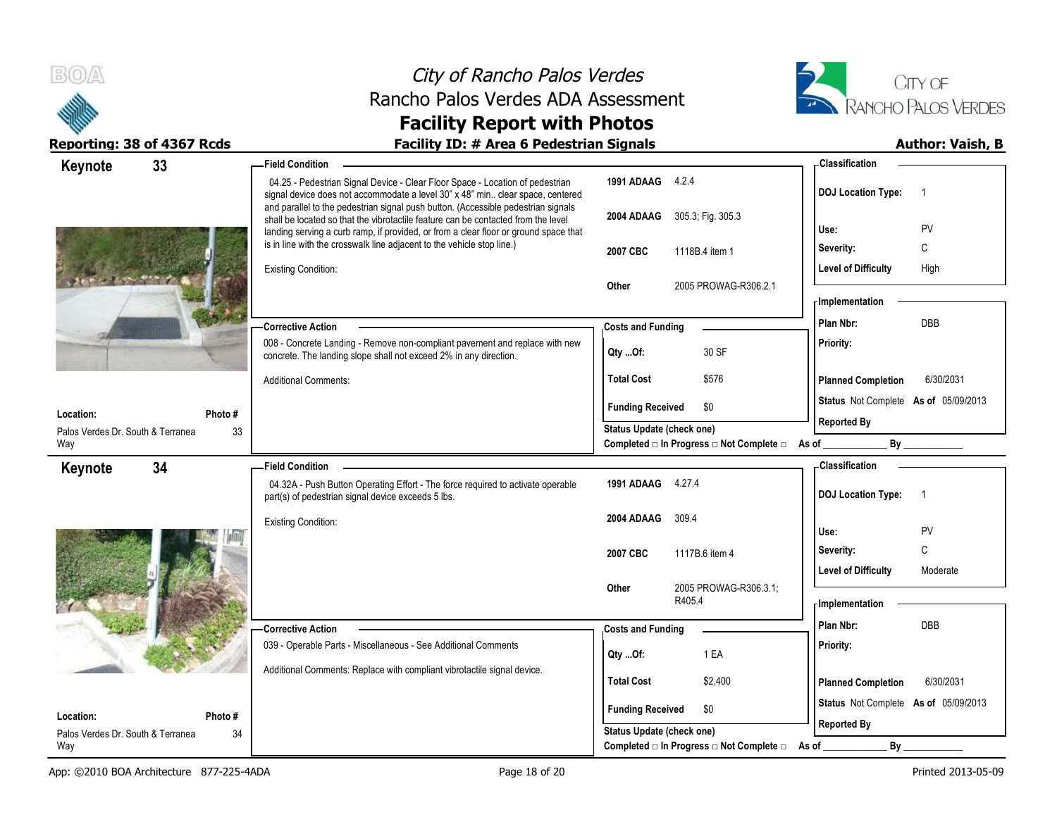



| 33<br>Keynote                     | <b>Field Condition</b>                                                                                                                                                                                                                                         |                                                             | <b>Classification</b>                                      |
|-----------------------------------|----------------------------------------------------------------------------------------------------------------------------------------------------------------------------------------------------------------------------------------------------------------|-------------------------------------------------------------|------------------------------------------------------------|
|                                   | 04.25 - Pedestrian Signal Device - Clear Floor Space - Location of pedestrian<br>signal device does not accommodate a level 30" x 48" min clear space, centered                                                                                                | 1991 ADAAG 4.2.4                                            | <b>DOJ Location Type:</b><br>$\overline{1}$                |
|                                   | and parallel to the pedestrian signal push button. (Accessible pedestrian signals<br>shall be located so that the vibrotactile feature can be contacted from the level<br>landing serving a curb ramp, if provided, or from a clear floor or ground space that | 305.3; Fig. 305.3<br>2004 ADAAG                             | PV<br>Use:                                                 |
|                                   | is in line with the crosswalk line adjacent to the vehicle stop line.)                                                                                                                                                                                         | 2007 CBC<br>1118B.4 item 1                                  | C<br>Severity:                                             |
|                                   | <b>Existing Condition:</b>                                                                                                                                                                                                                                     |                                                             | <b>Level of Difficulty</b><br>High                         |
|                                   |                                                                                                                                                                                                                                                                | Other<br>2005 PROWAG-R306.2.1                               | - Implementation                                           |
|                                   | -Corrective Action                                                                                                                                                                                                                                             | <b>Costs and Funding</b>                                    | <b>DBB</b><br>Plan Nbr:                                    |
|                                   | 008 - Concrete Landing - Remove non-compliant pavement and replace with new                                                                                                                                                                                    |                                                             | Priority:                                                  |
|                                   | concrete. The landing slope shall not exceed 2% in any direction.                                                                                                                                                                                              | 30 SF<br>Qty Of:                                            |                                                            |
|                                   | <b>Additional Comments:</b>                                                                                                                                                                                                                                    | <b>Total Cost</b><br>\$576                                  | <b>Planned Completion</b><br>6/30/2031                     |
| Location:                         | Photo #                                                                                                                                                                                                                                                        | <b>Funding Received</b><br>\$0                              | Status Not Complete As of 05/09/2013                       |
| Palos Verdes Dr. South & Terranea | 33                                                                                                                                                                                                                                                             | <b>Status Update (check one)</b>                            | <b>Reported By</b>                                         |
| Way                               |                                                                                                                                                                                                                                                                | Completed □ In Progress □ Not Complete □ As of __           | By                                                         |
| 34<br>Keynote                     | <b>Field Condition</b>                                                                                                                                                                                                                                         |                                                             | <b>Classification</b>                                      |
|                                   | 04.32A - Push Button Operating Effort - The force required to activate operable<br>part(s) of pedestrian signal device exceeds 5 lbs.                                                                                                                          | 1991 ADAAG 4.27.4                                           | <b>DOJ Location Type:</b><br>$\overline{1}$                |
|                                   | <b>Existing Condition:</b>                                                                                                                                                                                                                                     | 2004 ADAAG<br>309.4                                         | Use:<br>PV                                                 |
|                                   |                                                                                                                                                                                                                                                                | 2007 CBC<br>1117B.6 item 4                                  | $\mathbb C$<br>Severity:                                   |
|                                   |                                                                                                                                                                                                                                                                |                                                             |                                                            |
|                                   |                                                                                                                                                                                                                                                                |                                                             |                                                            |
|                                   |                                                                                                                                                                                                                                                                | 2005 PROWAG-R306.3.1;<br>Other                              | Level of Difficulty<br>Moderate                            |
|                                   |                                                                                                                                                                                                                                                                | R405.4                                                      | - Implementation                                           |
|                                   | <b>Corrective Action</b>                                                                                                                                                                                                                                       | <b>Costs and Funding</b>                                    | Plan Nbr:<br>DBB                                           |
|                                   | 039 - Operable Parts - Miscellaneous - See Additional Comments                                                                                                                                                                                                 | 1 EA<br>Qty Of:                                             | Priority:                                                  |
|                                   | Additional Comments: Replace with compliant vibrotactile signal device.                                                                                                                                                                                        |                                                             |                                                            |
|                                   |                                                                                                                                                                                                                                                                | <b>Total Cost</b><br>\$2,400                                | 6/30/2031<br><b>Planned Completion</b>                     |
| Location:                         | Photo #                                                                                                                                                                                                                                                        | <b>Funding Received</b><br>\$0<br>Status Update (check one) | Status Not Complete As of 05/09/2013<br><b>Reported By</b> |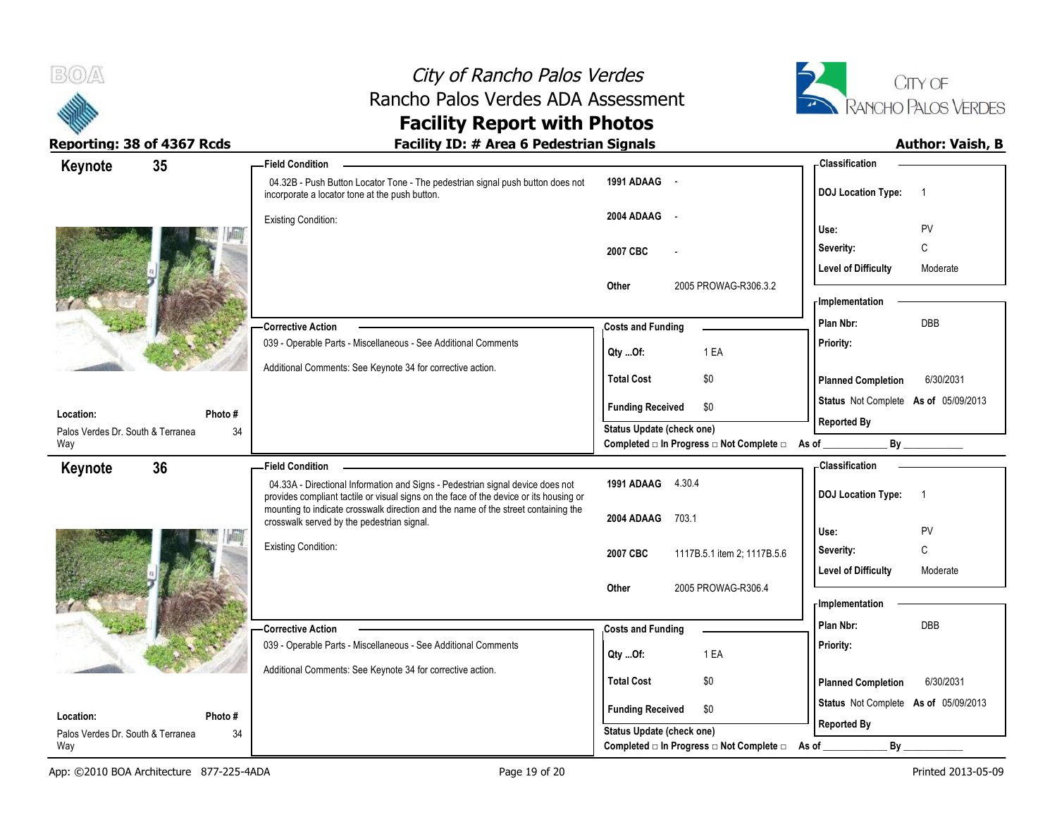



| Keynote                                  | 35      | <b>Field Condition</b>                                                                                                                                                   |                                          | <b>Classification</b>                       |
|------------------------------------------|---------|--------------------------------------------------------------------------------------------------------------------------------------------------------------------------|------------------------------------------|---------------------------------------------|
|                                          |         | 04.32B - Push Button Locator Tone - The pedestrian signal push button does not<br>incorporate a locator tone at the push button.                                         | 1991 ADAAG -                             | <b>DOJ Location Type:</b><br>$\overline{1}$ |
|                                          |         | <b>Existing Condition:</b>                                                                                                                                               | 2004 ADAAG -                             |                                             |
|                                          |         |                                                                                                                                                                          |                                          | PV<br>Use:                                  |
|                                          |         |                                                                                                                                                                          | 2007 CBC                                 | C<br>Severity:                              |
|                                          |         |                                                                                                                                                                          |                                          | <b>Level of Difficulty</b><br>Moderate      |
|                                          |         |                                                                                                                                                                          | Other<br>2005 PROWAG-R306.3.2            | - Implementation                            |
|                                          |         |                                                                                                                                                                          |                                          | DBB<br>Plan Nbr:                            |
|                                          |         | Corrective Action<br>039 - Operable Parts - Miscellaneous - See Additional Comments                                                                                      | <b>Costs and Funding</b>                 | Priority:                                   |
|                                          |         |                                                                                                                                                                          | 1 EA<br>Qty Of:                          |                                             |
|                                          |         | Additional Comments: See Keynote 34 for corrective action.                                                                                                               | \$0<br><b>Total Cost</b>                 | 6/30/2031<br><b>Planned Completion</b>      |
| Location:                                | Photo#  |                                                                                                                                                                          | <b>Funding Received</b><br>\$0           | Status Not Complete As of 05/09/2013        |
| Palos Verdes Dr. South & Terranea        | 34      |                                                                                                                                                                          | Status Update (check one)                | <b>Reported By</b>                          |
| Way                                      |         |                                                                                                                                                                          | Completed □ In Progress □ Not Complete □ | <b>By</b><br>As of _                        |
| Keynote                                  | 36      | -Field Condition                                                                                                                                                         |                                          | - Classification                            |
|                                          |         | 04.33A - Directional Information and Signs - Pedestrian signal device does not<br>provides compliant tactile or visual signs on the face of the device or its housing or | 1991 ADAAG 4.30.4                        | <b>DOJ Location Type:</b><br>$\overline{1}$ |
|                                          |         | mounting to indicate crosswalk direction and the name of the street containing the<br>crosswalk served by the pedestrian signal.                                         | 2004 ADAAG<br>703.1                      |                                             |
|                                          |         |                                                                                                                                                                          |                                          | PV<br>Use:                                  |
|                                          |         | <b>Existing Condition:</b>                                                                                                                                               | 2007 CBC<br>1117B.5.1 item 2; 1117B.5.6  | C<br>Severity:                              |
|                                          |         |                                                                                                                                                                          |                                          | <b>Level of Difficulty</b><br>Moderate      |
|                                          |         |                                                                                                                                                                          | Other<br>2005 PROWAG-R306.4              | - Implementation                            |
|                                          |         |                                                                                                                                                                          |                                          | Plan Nbr:<br><b>DBB</b>                     |
|                                          |         | <b>Corrective Action</b><br>039 - Operable Parts - Miscellaneous - See Additional Comments                                                                               | <b>Costs and Funding</b>                 | Priority:                                   |
|                                          |         |                                                                                                                                                                          | 1 EA<br>Qty Of:                          |                                             |
|                                          |         | Additional Comments: See Keynote 34 for corrective action.                                                                                                               | <b>Total Cost</b><br>\$0                 | <b>Planned Completion</b><br>6/30/2031      |
|                                          |         |                                                                                                                                                                          |                                          | Status Not Complete As of 05/09/2013        |
| Location:                                | Photo # |                                                                                                                                                                          | <b>Funding Received</b><br>\$0           | <b>Reported By</b>                          |
| Palos Verdes Dr. South & Terranea<br>Way | 34      |                                                                                                                                                                          | Status Update (check one)                |                                             |
|                                          |         |                                                                                                                                                                          | Completed □ In Progress □ Not Complete □ | As of<br>By                                 |